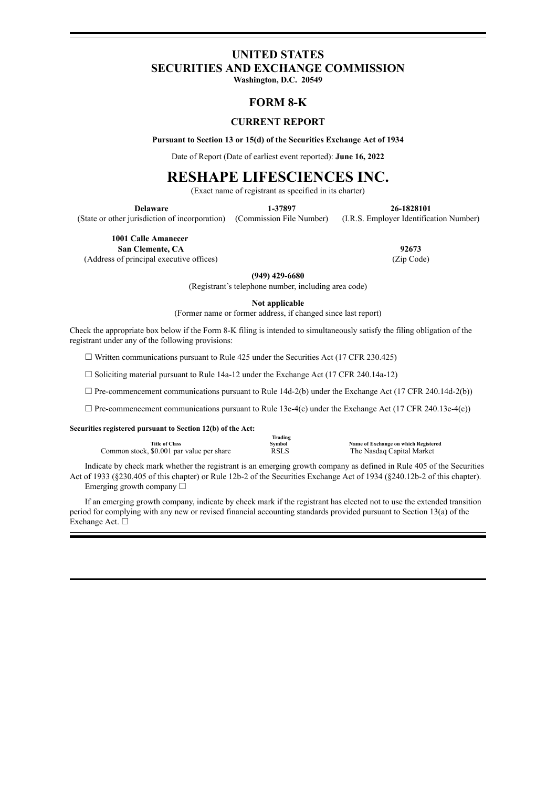# **UNITED STATES SECURITIES AND EXCHANGE COMMISSION**

**Washington, D.C. 20549**

# **FORM 8-K**

# **CURRENT REPORT**

**Pursuant to Section 13 or 15(d) of the Securities Exchange Act of 1934**

Date of Report (Date of earliest event reported): **June 16, 2022**

# **RESHAPE LIFESCIENCES INC.**

(Exact name of registrant as specified in its charter)

**Delaware 1-37897 26-1828101**

(State or other jurisdiction of incorporation) (Commission File Number) (I.R.S. Employer Identification Number)

**1001 Calle Amanecer**

**San Clemente, CA 92673** (Address of principal executive offices) (Zip Code)

**(949) 429-6680**

(Registrant's telephone number, including area code)

**Not applicable**

(Former name or former address, if changed since last report)

Check the appropriate box below if the Form 8-K filing is intended to simultaneously satisfy the filing obligation of the registrant under any of the following provisions:

 $\Box$  Written communications pursuant to Rule 425 under the Securities Act (17 CFR 230.425)

☐ Soliciting material pursuant to Rule 14a-12 under the Exchange Act (17 CFR 240.14a-12)

 $\Box$  Pre-commencement communications pursuant to Rule 14d-2(b) under the Exchange Act (17 CFR 240.14d-2(b))

 $\Box$  Pre-commencement communications pursuant to Rule 13e-4(c) under the Exchange Act (17 CFR 240.13e-4(c))

**Securities registered pursuant to Section 12(b) of the Act:**

|                                           | Trading     |                                      |
|-------------------------------------------|-------------|--------------------------------------|
| <b>Title of Class</b>                     | Svmbol      | Name of Exchange on which Registered |
| Common stock, \$0.001 par value per share | <b>RSLS</b> | The Nasdag Capital Market            |

Indicate by check mark whether the registrant is an emerging growth company as defined in Rule 405 of the Securities Act of 1933 (§230.405 of this chapter) or Rule 12b-2 of the Securities Exchange Act of 1934 (§240.12b-2 of this chapter). Emerging growth company  $\Box$ 

If an emerging growth company, indicate by check mark if the registrant has elected not to use the extended transition period for complying with any new or revised financial accounting standards provided pursuant to Section 13(a) of the Exchange Act. □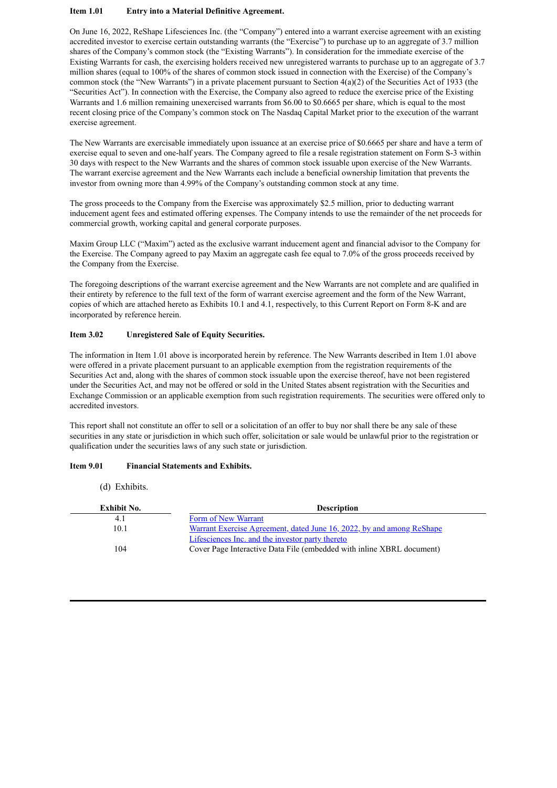#### **Item 1.01 Entry into a Material Definitive Agreement.**

On June 16, 2022, ReShape Lifesciences Inc. (the "Company") entered into a warrant exercise agreement with an existing accredited investor to exercise certain outstanding warrants (the "Exercise") to purchase up to an aggregate of 3.7 million shares of the Company's common stock (the "Existing Warrants"). In consideration for the immediate exercise of the Existing Warrants for cash, the exercising holders received new unregistered warrants to purchase up to an aggregate of 3.7 million shares (equal to 100% of the shares of common stock issued in connection with the Exercise) of the Company's common stock (the "New Warrants") in a private placement pursuant to Section  $4(a)(2)$  of the Securities Act of 1933 (the "Securities Act"). In connection with the Exercise, the Company also agreed to reduce the exercise price of the Existing Warrants and 1.6 million remaining unexercised warrants from \$6.00 to \$0.6665 per share, which is equal to the most recent closing price of the Company's common stock on The Nasdaq Capital Market prior to the execution of the warrant exercise agreement.

The New Warrants are exercisable immediately upon issuance at an exercise price of \$0.6665 per share and have a term of exercise equal to seven and one-half years. The Company agreed to file a resale registration statement on Form S-3 within 30 days with respect to the New Warrants and the shares of common stock issuable upon exercise of the New Warrants. The warrant exercise agreement and the New Warrants each include a beneficial ownership limitation that prevents the investor from owning more than 4.99% of the Company's outstanding common stock at any time.

The gross proceeds to the Company from the Exercise was approximately \$2.5 million, prior to deducting warrant inducement agent fees and estimated offering expenses. The Company intends to use the remainder of the net proceeds for commercial growth, working capital and general corporate purposes.

Maxim Group LLC ("Maxim") acted as the exclusive warrant inducement agent and financial advisor to the Company for the Exercise. The Company agreed to pay Maxim an aggregate cash fee equal to 7.0% of the gross proceeds received by the Company from the Exercise.

The foregoing descriptions of the warrant exercise agreement and the New Warrants are not complete and are qualified in their entirety by reference to the full text of the form of warrant exercise agreement and the form of the New Warrant, copies of which are attached hereto as Exhibits 10.1 and 4.1, respectively, to this Current Report on Form 8-K and are incorporated by reference herein.

# **Item 3.02 Unregistered Sale of Equity Securities.**

The information in Item 1.01 above is incorporated herein by reference. The New Warrants described in Item 1.01 above were offered in a private placement pursuant to an applicable exemption from the registration requirements of the Securities Act and, along with the shares of common stock issuable upon the exercise thereof, have not been registered under the Securities Act, and may not be offered or sold in the United States absent registration with the Securities and Exchange Commission or an applicable exemption from such registration requirements. The securities were offered only to accredited investors.

This report shall not constitute an offer to sell or a solicitation of an offer to buy nor shall there be any sale of these securities in any state or jurisdiction in which such offer, solicitation or sale would be unlawful prior to the registration or qualification under the securities laws of any such state or jurisdiction.

## **Item 9.01 Financial Statements and Exhibits.**

(d) Exhibits.

| Exhibit No. | <b>Description</b>                                                           |
|-------------|------------------------------------------------------------------------------|
| 4.1         | Form of New Warrant                                                          |
| 10.1        | <u>Warrant Exercise Agreement, dated June 16, 2022, by and among ReShape</u> |
|             | Lifesciences Inc. and the investor party thereto                             |
| 104         | Cover Page Interactive Data File (embedded with inline XBRL document)        |
|             |                                                                              |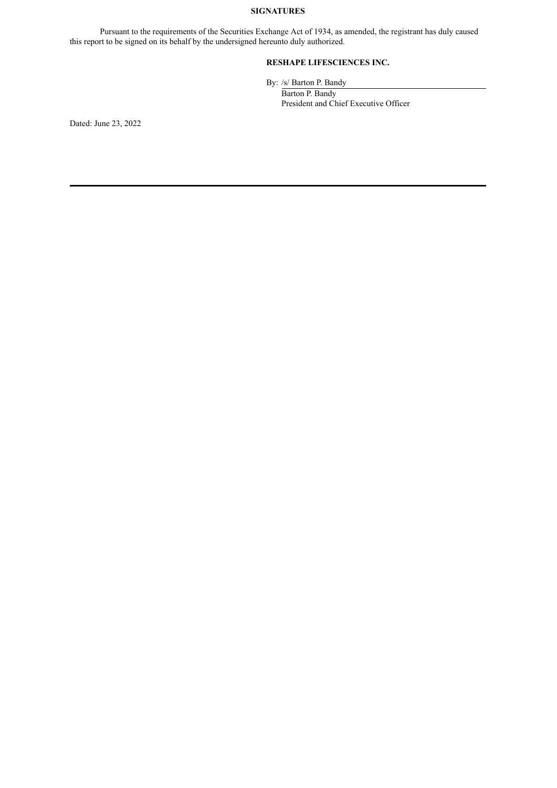# **SIGNATURES**

Pursuant to the requirements of the Securities Exchange Act of 1934, as amended, the registrant has duly caused this report to be signed on its behalf by the undersigned hereunto duly authorized.

# **RESHAPE LIFESCIENCES INC.**

By: /s/ Barton P. Bandy

Barton P. Bandy President and Chief Executive Officer

Dated: June 23, 2022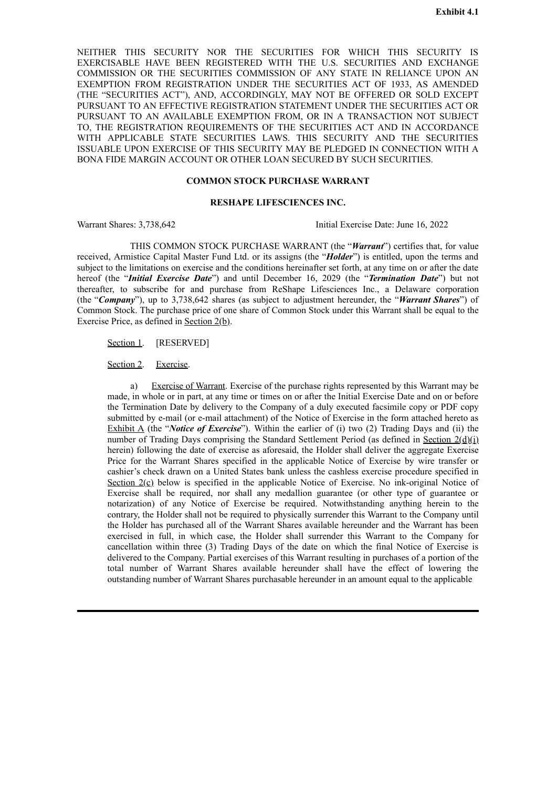<span id="page-3-0"></span>NEITHER THIS SECURITY NOR THE SECURITIES FOR WHICH THIS SECURITY IS EXERCISABLE HAVE BEEN REGISTERED WITH THE U.S. SECURITIES AND EXCHANGE COMMISSION OR THE SECURITIES COMMISSION OF ANY STATE IN RELIANCE UPON AN EXEMPTION FROM REGISTRATION UNDER THE SECURITIES ACT OF 1933, AS AMENDED (THE "SECURITIES ACT"), AND, ACCORDINGLY, MAY NOT BE OFFERED OR SOLD EXCEPT PURSUANT TO AN EFFECTIVE REGISTRATION STATEMENT UNDER THE SECURITIES ACT OR PURSUANT TO AN AVAILABLE EXEMPTION FROM, OR IN A TRANSACTION NOT SUBJECT TO, THE REGISTRATION REQUIREMENTS OF THE SECURITIES ACT AND IN ACCORDANCE WITH APPLICABLE STATE SECURITIES LAWS. THIS SECURITY AND THE SECURITIES ISSUABLE UPON EXERCISE OF THIS SECURITY MAY BE PLEDGED IN CONNECTION WITH A BONA FIDE MARGIN ACCOUNT OR OTHER LOAN SECURED BY SUCH SECURITIES.

### **COMMON STOCK PURCHASE WARRANT**

## **RESHAPE LIFESCIENCES INC.**

Warrant Shares: 3,738,642 Initial Exercise Date: June 16, 2022

THIS COMMON STOCK PURCHASE WARRANT (the "*Warrant*") certifies that, for value received, Armistice Capital Master Fund Ltd. or its assigns (the "*Holder*") is entitled, upon the terms and subject to the limitations on exercise and the conditions hereinafter set forth, at any time on or after the date hereof (the "*Initial Exercise Date*") and until December 16, 2029 (the "*Termination Date*") but not thereafter, to subscribe for and purchase from ReShape Lifesciences Inc., a Delaware corporation (the "*Company*"), up to 3,738,642 shares (as subject to adjustment hereunder, the "*Warrant Shares*") of Common Stock. The purchase price of one share of Common Stock under this Warrant shall be equal to the Exercise Price, as defined in <u>Section 2(b)</u>.

Section 1. [RESERVED]

#### Section 2. Exercise.

Exercise of Warrant. Exercise of the purchase rights represented by this Warrant may be made, in whole or in part, at any time or times on or after the Initial Exercise Date and on or before the Termination Date by delivery to the Company of a duly executed facsimile copy or PDF copy submitted by e-mail (or e-mail attachment) of the Notice of Exercise in the form attached hereto as Exhibit A (the "*Notice of Exercise*"). Within the earlier of (i) two (2) Trading Days and (ii) the number of Trading Days comprising the Standard Settlement Period (as defined in Section  $2(\underline{d})(i)$ ) herein) following the date of exercise as aforesaid, the Holder shall deliver the aggregate Exercise Price for the Warrant Shares specified in the applicable Notice of Exercise by wire transfer or cashier's check drawn on a United States bank unless the cashless exercise procedure specified in Section  $2(\mathcal{C})$  below is specified in the applicable Notice of Exercise. No ink-original Notice of Exercise shall be required, nor shall any medallion guarantee (or other type of guarantee or notarization) of any Notice of Exercise be required. Notwithstanding anything herein to the contrary, the Holder shall not be required to physically surrender this Warrant to the Company until the Holder has purchased all of the Warrant Shares available hereunder and the Warrant has been exercised in full, in which case, the Holder shall surrender this Warrant to the Company for cancellation within three (3) Trading Days of the date on which the final Notice of Exercise is delivered to the Company. Partial exercises of this Warrant resulting in purchases of a portion of the total number of Warrant Shares available hereunder shall have the effect of lowering the outstanding number of Warrant Shares purchasable hereunder in an amount equal to the applicable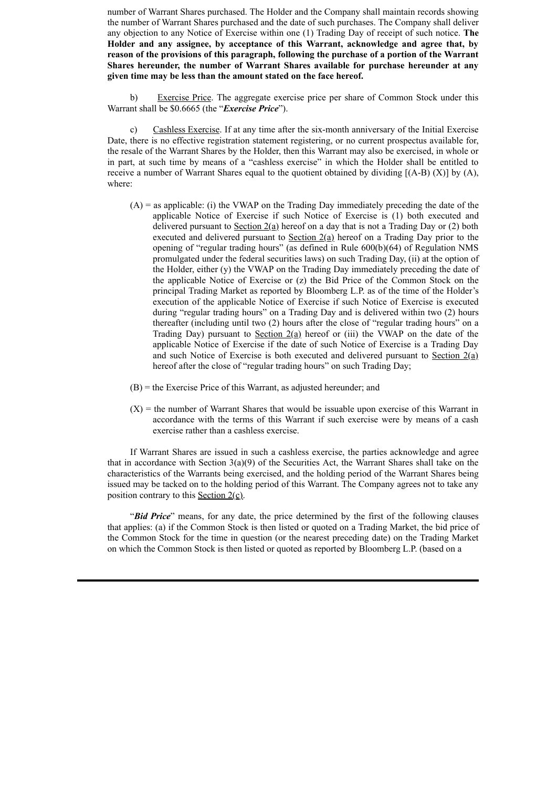number of Warrant Shares purchased. The Holder and the Company shall maintain records showing the number of Warrant Shares purchased and the date of such purchases. The Company shall deliver any objection to any Notice of Exercise within one (1) Trading Day of receipt of such notice. **The Holder and any assignee, by acceptance of this Warrant, acknowledge and agree that, by reason of the provisions of this paragraph, following the purchase of a portion of the Warrant Shares hereunder, the number of Warrant Shares available for purchase hereunder at any given time may be less than the amount stated on the face hereof.**

b) Exercise Price. The aggregate exercise price per share of Common Stock under this Warrant shall be \$0.6665 (the "*Exercise Price*").

c) Cashless Exercise. If at any time after the six-month anniversary of the Initial Exercise Date, there is no effective registration statement registering, or no current prospectus available for, the resale of the Warrant Shares by the Holder, then this Warrant may also be exercised, in whole or in part, at such time by means of a "cashless exercise" in which the Holder shall be entitled to receive a number of Warrant Shares equal to the quotient obtained by dividing  $[(A-B) (X)]$  by  $(A)$ , where:

- $(A)$  = as applicable: (i) the VWAP on the Trading Day immediately preceding the date of the applicable Notice of Exercise if such Notice of Exercise is (1) both executed and delivered pursuant to Section  $2(a)$  hereof on a day that is not a Trading Day or (2) both executed and delivered pursuant to  $Section 2(a)$  hereof on a Trading Day prior to the opening of "regular trading hours" (as defined in Rule 600(b)(64) of Regulation NMS promulgated under the federal securities laws) on such Trading Day, (ii) at the option of the Holder, either (y) the VWAP on the Trading Day immediately preceding the date of the applicable Notice of Exercise or (z) the Bid Price of the Common Stock on the principal Trading Market as reported by Bloomberg L.P. as of the time of the Holder's execution of the applicable Notice of Exercise if such Notice of Exercise is executed during "regular trading hours" on a Trading Day and is delivered within two (2) hours thereafter (including until two (2) hours after the close of "regular trading hours" on a Trading Day) pursuant to Section  $2(a)$  hereof or (iii) the VWAP on the date of the applicable Notice of Exercise if the date of such Notice of Exercise is a Trading Day and such Notice of Exercise is both executed and delivered pursuant to Section  $2(a)$ hereof after the close of "regular trading hours" on such Trading Day;
- (B) = the Exercise Price of this Warrant, as adjusted hereunder; and
- $(X)$  = the number of Warrant Shares that would be issuable upon exercise of this Warrant in accordance with the terms of this Warrant if such exercise were by means of a cash exercise rather than a cashless exercise.

If Warrant Shares are issued in such a cashless exercise, the parties acknowledge and agree that in accordance with Section  $3(a)(9)$  of the Securities Act, the Warrant Shares shall take on the characteristics of the Warrants being exercised, and the holding period of the Warrant Shares being issued may be tacked on to the holding period of this Warrant. The Company agrees not to take any position contrary to this Section  $2(\underline{c})$ .

"*Bid Price*" means, for any date, the price determined by the first of the following clauses that applies: (a) if the Common Stock is then listed or quoted on a Trading Market, the bid price of the Common Stock for the time in question (or the nearest preceding date) on the Trading Market on which the Common Stock is then listed or quoted as reported by Bloomberg L.P. (based on a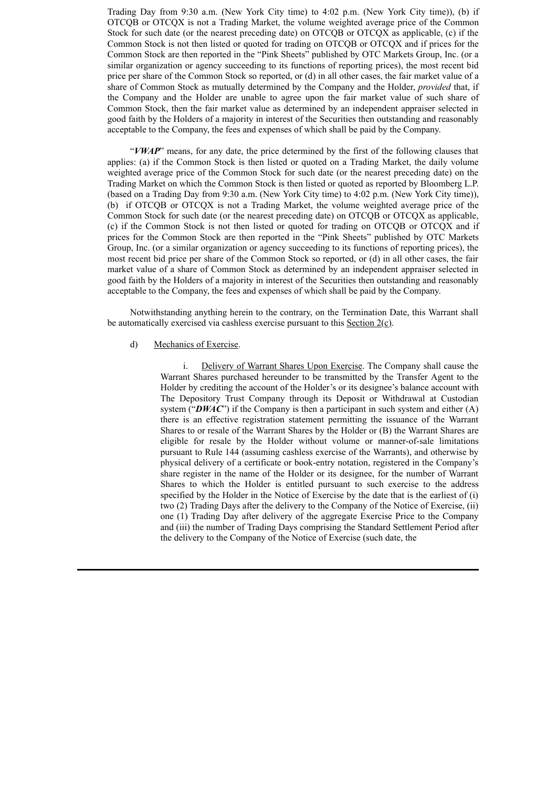Trading Day from 9:30 a.m. (New York City time) to 4:02 p.m. (New York City time)), (b) if OTCQB or OTCQX is not a Trading Market, the volume weighted average price of the Common Stock for such date (or the nearest preceding date) on OTCQB or OTCQX as applicable, (c) if the Common Stock is not then listed or quoted for trading on OTCQB or OTCQX and if prices for the Common Stock are then reported in the "Pink Sheets" published by OTC Markets Group, Inc. (or a similar organization or agency succeeding to its functions of reporting prices), the most recent bid price per share of the Common Stock so reported, or (d) in all other cases, the fair market value of a share of Common Stock as mutually determined by the Company and the Holder, *provided* that, if the Company and the Holder are unable to agree upon the fair market value of such share of Common Stock, then the fair market value as determined by an independent appraiser selected in good faith by the Holders of a majority in interest of the Securities then outstanding and reasonably acceptable to the Company, the fees and expenses of which shall be paid by the Company.

"*VWAP*" means, for any date, the price determined by the first of the following clauses that applies: (a) if the Common Stock is then listed or quoted on a Trading Market, the daily volume weighted average price of the Common Stock for such date (or the nearest preceding date) on the Trading Market on which the Common Stock is then listed or quoted as reported by Bloomberg L.P. (based on a Trading Day from 9:30 a.m. (New York City time) to 4:02 p.m. (New York City time)), (b) if OTCQB or OTCQX is not a Trading Market, the volume weighted average price of the Common Stock for such date (or the nearest preceding date) on OTCQB or OTCQX as applicable, (c) if the Common Stock is not then listed or quoted for trading on OTCQB or OTCQX and if prices for the Common Stock are then reported in the "Pink Sheets" published by OTC Markets Group, Inc. (or a similar organization or agency succeeding to its functions of reporting prices), the most recent bid price per share of the Common Stock so reported, or (d) in all other cases, the fair market value of a share of Common Stock as determined by an independent appraiser selected in good faith by the Holders of a majority in interest of the Securities then outstanding and reasonably acceptable to the Company, the fees and expenses of which shall be paid by the Company.

Notwithstanding anything herein to the contrary, on the Termination Date, this Warrant shall be automatically exercised via cashless exercise pursuant to this Section 2(c).

#### d) Mechanics of Exercise.

i. Delivery of Warrant Shares Upon Exercise. The Company shall cause the Warrant Shares purchased hereunder to be transmitted by the Transfer Agent to the Holder by crediting the account of the Holder's or its designee's balance account with The Depository Trust Company through its Deposit or Withdrawal at Custodian system (" $DWAC$ ") if the Company is then a participant in such system and either (A) there is an effective registration statement permitting the issuance of the Warrant Shares to or resale of the Warrant Shares by the Holder or (B) the Warrant Shares are eligible for resale by the Holder without volume or manner-of-sale limitations pursuant to Rule 144 (assuming cashless exercise of the Warrants), and otherwise by physical delivery of a certificate or book-entry notation, registered in the Company's share register in the name of the Holder or its designee, for the number of Warrant Shares to which the Holder is entitled pursuant to such exercise to the address specified by the Holder in the Notice of Exercise by the date that is the earliest of (i) two (2) Trading Days after the delivery to the Company of the Notice of Exercise, (ii) one (1) Trading Day after delivery of the aggregate Exercise Price to the Company and (iii) the number of Trading Days comprising the Standard Settlement Period after the delivery to the Company of the Notice of Exercise (such date, the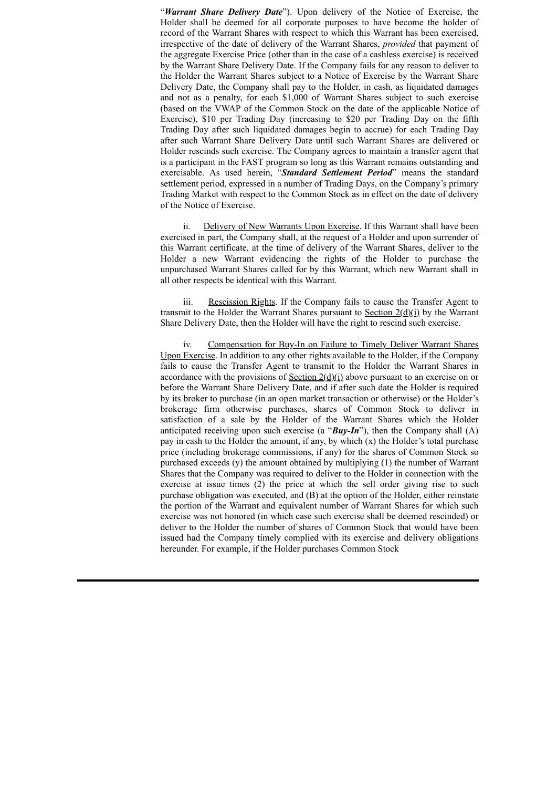"*Warrant Share Delivery Date*"). Upon delivery of the Notice of Exercise, the Holder shall be deemed for all corporate purposes to have become the holder of record of the Warrant Shares with respect to which this Warrant has been exercised, irrespective of the date of delivery of the Warrant Shares, *provided* that payment of the aggregate Exercise Price (other than in the case of a cashless exercise) is received by the Warrant Share Delivery Date. If the Company fails for any reason to deliver to the Holder the Warrant Shares subject to a Notice of Exercise by the Warrant Share Delivery Date, the Company shall pay to the Holder, in cash, as liquidated damages and not as a penalty, for each \$1,000 of Warrant Shares subject to such exercise (based on the VWAP of the Common Stock on the date of the applicable Notice of Exercise), \$10 per Trading Day (increasing to \$20 per Trading Day on the fifth Trading Day after such liquidated damages begin to accrue) for each Trading Day after such Warrant Share Delivery Date until such Warrant Shares are delivered or Holder rescinds such exercise. The Company agrees to maintain a transfer agent that is a participant in the FAST program so long as this Warrant remains outstanding and exercisable. As used herein, "*Standard Settlement Period*" means the standard settlement period, expressed in a number of Trading Days, on the Company's primary Trading Market with respect to the Common Stock as in effect on the date of delivery of the Notice of Exercise.

ii. Delivery of New Warrants Upon Exercise. If this Warrant shall have been exercised in part, the Company shall, at the request of a Holder and upon surrender of this Warrant certificate, at the time of delivery of the Warrant Shares, deliver to the Holder a new Warrant evidencing the rights of the Holder to purchase the unpurchased Warrant Shares called for by this Warrant, which new Warrant shall in all other respects be identical with this Warrant.

iii. Rescission Rights. If the Company fails to cause the Transfer Agent to transmit to the Holder the Warrant Shares pursuant to Section  $2(\underline{d})(i)$  by the Warrant Share Delivery Date, then the Holder will have the right to rescind such exercise.

iv. Compensation for Buy-In on Failure to Timely Deliver Warrant Shares Upon Exercise. In addition to any other rights available to the Holder, if the Company fails to cause the Transfer Agent to transmit to the Holder the Warrant Shares in accordance with the provisions of <u>Section  $2(\underline{d})(i)$ </u> above pursuant to an exercise on or before the Warrant Share Delivery Date, and if after such date the Holder is required by its broker to purchase (in an open market transaction or otherwise) or the Holder's brokerage firm otherwise purchases, shares of Common Stock to deliver in satisfaction of a sale by the Holder of the Warrant Shares which the Holder anticipated receiving upon such exercise (a "*Buy-In*"), then the Company shall (A) pay in cash to the Holder the amount, if any, by which  $(x)$  the Holder's total purchase price (including brokerage commissions, if any) for the shares of Common Stock so purchased exceeds (y) the amount obtained by multiplying (1) the number of Warrant Shares that the Company was required to deliver to the Holder in connection with the exercise at issue times (2) the price at which the sell order giving rise to such purchase obligation was executed, and (B) at the option of the Holder, either reinstate the portion of the Warrant and equivalent number of Warrant Shares for which such exercise was not honored (in which case such exercise shall be deemed rescinded) or deliver to the Holder the number of shares of Common Stock that would have been issued had the Company timely complied with its exercise and delivery obligations hereunder. For example, if the Holder purchases Common Stock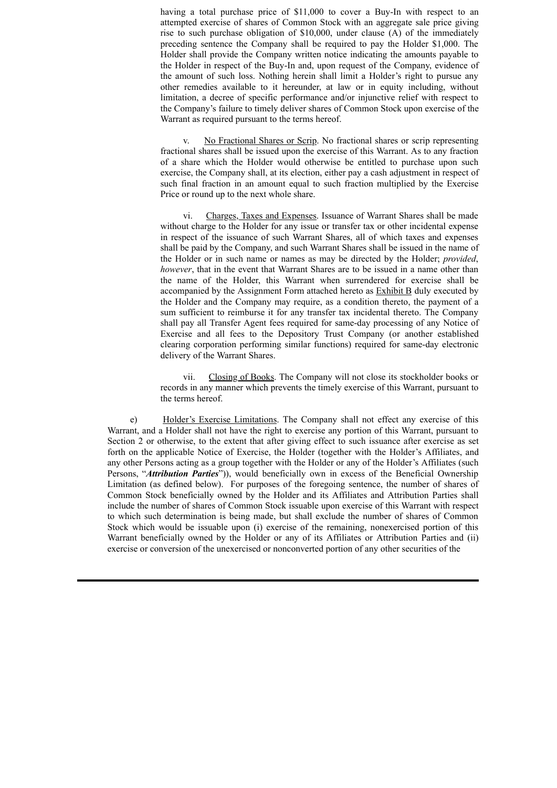having a total purchase price of \$11,000 to cover a Buy-In with respect to an attempted exercise of shares of Common Stock with an aggregate sale price giving rise to such purchase obligation of \$10,000, under clause (A) of the immediately preceding sentence the Company shall be required to pay the Holder \$1,000. The Holder shall provide the Company written notice indicating the amounts payable to the Holder in respect of the Buy-In and, upon request of the Company, evidence of the amount of such loss. Nothing herein shall limit a Holder's right to pursue any other remedies available to it hereunder, at law or in equity including, without limitation, a decree of specific performance and/or injunctive relief with respect to the Company's failure to timely deliver shares of Common Stock upon exercise of the Warrant as required pursuant to the terms hereof.

No Fractional Shares or Scrip. No fractional shares or scrip representing fractional shares shall be issued upon the exercise of this Warrant. As to any fraction of a share which the Holder would otherwise be entitled to purchase upon such exercise, the Company shall, at its election, either pay a cash adjustment in respect of such final fraction in an amount equal to such fraction multiplied by the Exercise Price or round up to the next whole share.

vi. Charges, Taxes and Expenses. Issuance of Warrant Shares shall be made without charge to the Holder for any issue or transfer tax or other incidental expense in respect of the issuance of such Warrant Shares, all of which taxes and expenses shall be paid by the Company, and such Warrant Shares shall be issued in the name of the Holder or in such name or names as may be directed by the Holder; *provided*, *however*, that in the event that Warrant Shares are to be issued in a name other than the name of the Holder, this Warrant when surrendered for exercise shall be accompanied by the Assignment Form attached hereto as Exhibit B duly executed by the Holder and the Company may require, as a condition thereto, the payment of a sum sufficient to reimburse it for any transfer tax incidental thereto. The Company shall pay all Transfer Agent fees required for same-day processing of any Notice of Exercise and all fees to the Depository Trust Company (or another established clearing corporation performing similar functions) required for same-day electronic delivery of the Warrant Shares.

vii. Closing of Books. The Company will not close its stockholder books or records in any manner which prevents the timely exercise of this Warrant, pursuant to the terms hereof.

e) Holder's Exercise Limitations. The Company shall not effect any exercise of this Warrant, and a Holder shall not have the right to exercise any portion of this Warrant, pursuant to Section 2 or otherwise, to the extent that after giving effect to such issuance after exercise as set forth on the applicable Notice of Exercise, the Holder (together with the Holder's Affiliates, and any other Persons acting as a group together with the Holder or any of the Holder's Affiliates (such Persons, "*Attribution Parties*")), would beneficially own in excess of the Beneficial Ownership Limitation (as defined below). For purposes of the foregoing sentence, the number of shares of Common Stock beneficially owned by the Holder and its Affiliates and Attribution Parties shall include the number of shares of Common Stock issuable upon exercise of this Warrant with respect to which such determination is being made, but shall exclude the number of shares of Common Stock which would be issuable upon (i) exercise of the remaining, nonexercised portion of this Warrant beneficially owned by the Holder or any of its Affiliates or Attribution Parties and (ii) exercise or conversion of the unexercised or nonconverted portion of any other securities of the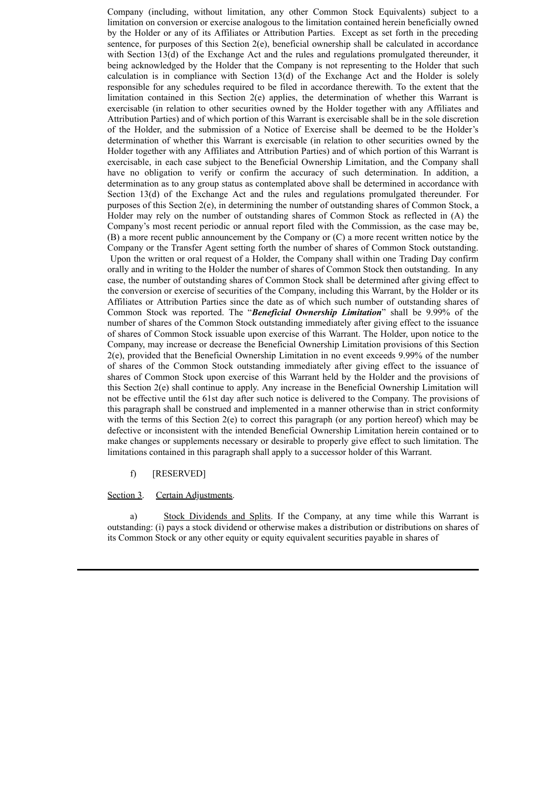Company (including, without limitation, any other Common Stock Equivalents) subject to a limitation on conversion or exercise analogous to the limitation contained herein beneficially owned by the Holder or any of its Affiliates or Attribution Parties. Except as set forth in the preceding sentence, for purposes of this Section 2(e), beneficial ownership shall be calculated in accordance with Section 13(d) of the Exchange Act and the rules and regulations promulgated thereunder, it being acknowledged by the Holder that the Company is not representing to the Holder that such calculation is in compliance with Section 13(d) of the Exchange Act and the Holder is solely responsible for any schedules required to be filed in accordance therewith. To the extent that the limitation contained in this Section  $2(e)$  applies, the determination of whether this Warrant is exercisable (in relation to other securities owned by the Holder together with any Affiliates and Attribution Parties) and of which portion of this Warrant is exercisable shall be in the sole discretion of the Holder, and the submission of a Notice of Exercise shall be deemed to be the Holder's determination of whether this Warrant is exercisable (in relation to other securities owned by the Holder together with any Affiliates and Attribution Parties) and of which portion of this Warrant is exercisable, in each case subject to the Beneficial Ownership Limitation, and the Company shall have no obligation to verify or confirm the accuracy of such determination. In addition, a determination as to any group status as contemplated above shall be determined in accordance with Section 13(d) of the Exchange Act and the rules and regulations promulgated thereunder. For purposes of this Section 2(e), in determining the number of outstanding shares of Common Stock, a Holder may rely on the number of outstanding shares of Common Stock as reflected in (A) the Company's most recent periodic or annual report filed with the Commission, as the case may be, (B) a more recent public announcement by the Company or (C) a more recent written notice by the Company or the Transfer Agent setting forth the number of shares of Common Stock outstanding. Upon the written or oral request of a Holder, the Company shall within one Trading Day confirm orally and in writing to the Holder the number of shares of Common Stock then outstanding. In any case, the number of outstanding shares of Common Stock shall be determined after giving effect to the conversion or exercise of securities of the Company, including this Warrant, by the Holder or its Affiliates or Attribution Parties since the date as of which such number of outstanding shares of Common Stock was reported. The "*Beneficial Ownership Limitation*" shall be 9.99% of the number of shares of the Common Stock outstanding immediately after giving effect to the issuance of shares of Common Stock issuable upon exercise of this Warrant. The Holder, upon notice to the Company, may increase or decrease the Beneficial Ownership Limitation provisions of this Section 2(e), provided that the Beneficial Ownership Limitation in no event exceeds 9.99% of the number of shares of the Common Stock outstanding immediately after giving effect to the issuance of shares of Common Stock upon exercise of this Warrant held by the Holder and the provisions of this Section 2(e) shall continue to apply. Any increase in the Beneficial Ownership Limitation will not be effective until the 61st day after such notice is delivered to the Company. The provisions of this paragraph shall be construed and implemented in a manner otherwise than in strict conformity with the terms of this Section  $2(e)$  to correct this paragraph (or any portion hereof) which may be defective or inconsistent with the intended Beneficial Ownership Limitation herein contained or to make changes or supplements necessary or desirable to properly give effect to such limitation. The limitations contained in this paragraph shall apply to a successor holder of this Warrant.

## f) [RESERVED]

#### Section 3. Certain Adjustments.

a) Stock Dividends and Splits. If the Company, at any time while this Warrant is outstanding: (i) pays a stock dividend or otherwise makes a distribution or distributions on shares of its Common Stock or any other equity or equity equivalent securities payable in shares of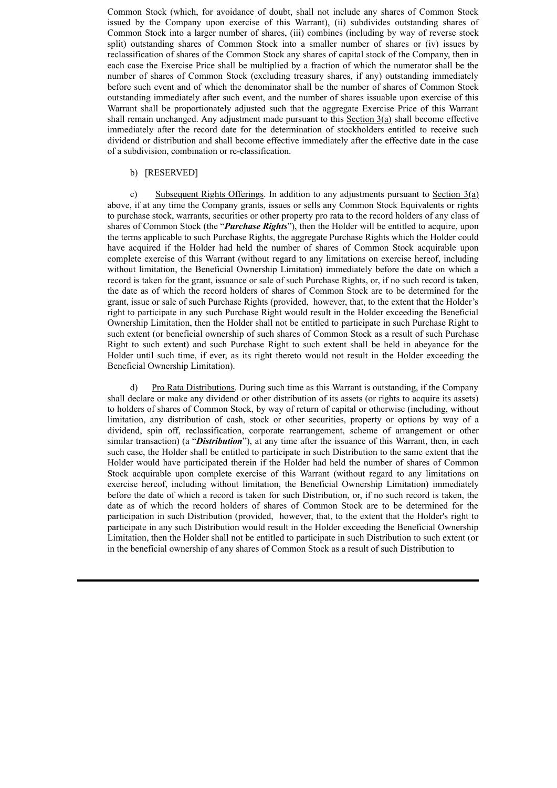Common Stock (which, for avoidance of doubt, shall not include any shares of Common Stock issued by the Company upon exercise of this Warrant), (ii) subdivides outstanding shares of Common Stock into a larger number of shares, (iii) combines (including by way of reverse stock split) outstanding shares of Common Stock into a smaller number of shares or (iv) issues by reclassification of shares of the Common Stock any shares of capital stock of the Company, then in each case the Exercise Price shall be multiplied by a fraction of which the numerator shall be the number of shares of Common Stock (excluding treasury shares, if any) outstanding immediately before such event and of which the denominator shall be the number of shares of Common Stock outstanding immediately after such event, and the number of shares issuable upon exercise of this Warrant shall be proportionately adjusted such that the aggregate Exercise Price of this Warrant shall remain unchanged. Any adjustment made pursuant to this Section  $3(a)$  shall become effective immediately after the record date for the determination of stockholders entitled to receive such dividend or distribution and shall become effective immediately after the effective date in the case of a subdivision, combination or re-classification.

## b) [RESERVED]

c) Subsequent Rights Offerings. In addition to any adjustments pursuant to Section 3(a) above, if at any time the Company grants, issues or sells any Common Stock Equivalents or rights to purchase stock, warrants, securities or other property pro rata to the record holders of any class of shares of Common Stock (the "*Purchase Rights*"), then the Holder will be entitled to acquire, upon the terms applicable to such Purchase Rights, the aggregate Purchase Rights which the Holder could have acquired if the Holder had held the number of shares of Common Stock acquirable upon complete exercise of this Warrant (without regard to any limitations on exercise hereof, including without limitation, the Beneficial Ownership Limitation) immediately before the date on which a record is taken for the grant, issuance or sale of such Purchase Rights, or, if no such record is taken, the date as of which the record holders of shares of Common Stock are to be determined for the grant, issue or sale of such Purchase Rights (provided, however, that, to the extent that the Holder's right to participate in any such Purchase Right would result in the Holder exceeding the Beneficial Ownership Limitation, then the Holder shall not be entitled to participate in such Purchase Right to such extent (or beneficial ownership of such shares of Common Stock as a result of such Purchase Right to such extent) and such Purchase Right to such extent shall be held in abeyance for the Holder until such time, if ever, as its right thereto would not result in the Holder exceeding the Beneficial Ownership Limitation).

d) Pro Rata Distributions. During such time as this Warrant is outstanding, if the Company shall declare or make any dividend or other distribution of its assets (or rights to acquire its assets) to holders of shares of Common Stock, by way of return of capital or otherwise (including, without limitation, any distribution of cash, stock or other securities, property or options by way of a dividend, spin off, reclassification, corporate rearrangement, scheme of arrangement or other similar transaction) (a "*Distribution*"), at any time after the issuance of this Warrant, then, in each such case, the Holder shall be entitled to participate in such Distribution to the same extent that the Holder would have participated therein if the Holder had held the number of shares of Common Stock acquirable upon complete exercise of this Warrant (without regard to any limitations on exercise hereof, including without limitation, the Beneficial Ownership Limitation) immediately before the date of which a record is taken for such Distribution, or, if no such record is taken, the date as of which the record holders of shares of Common Stock are to be determined for the participation in such Distribution (provided, however, that, to the extent that the Holder's right to participate in any such Distribution would result in the Holder exceeding the Beneficial Ownership Limitation, then the Holder shall not be entitled to participate in such Distribution to such extent (or in the beneficial ownership of any shares of Common Stock as a result of such Distribution to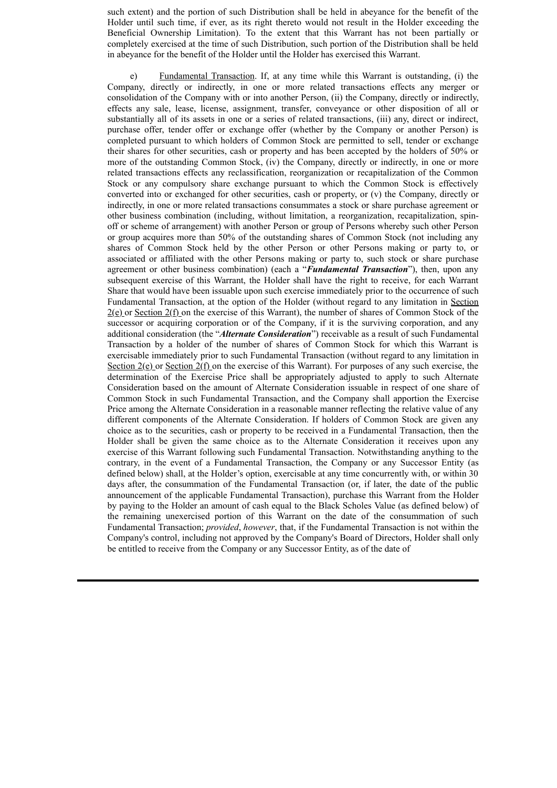such extent) and the portion of such Distribution shall be held in abeyance for the benefit of the Holder until such time, if ever, as its right thereto would not result in the Holder exceeding the Beneficial Ownership Limitation). To the extent that this Warrant has not been partially or completely exercised at the time of such Distribution, such portion of the Distribution shall be held in abeyance for the benefit of the Holder until the Holder has exercised this Warrant.

e) Fundamental Transaction. If, at any time while this Warrant is outstanding, (i) the Company, directly or indirectly, in one or more related transactions effects any merger or consolidation of the Company with or into another Person, (ii) the Company, directly or indirectly, effects any sale, lease, license, assignment, transfer, conveyance or other disposition of all or substantially all of its assets in one or a series of related transactions, (iii) any, direct or indirect, purchase offer, tender offer or exchange offer (whether by the Company or another Person) is completed pursuant to which holders of Common Stock are permitted to sell, tender or exchange their shares for other securities, cash or property and has been accepted by the holders of 50% or more of the outstanding Common Stock, (iv) the Company, directly or indirectly, in one or more related transactions effects any reclassification, reorganization or recapitalization of the Common Stock or any compulsory share exchange pursuant to which the Common Stock is effectively converted into or exchanged for other securities, cash or property, or (v) the Company, directly or indirectly, in one or more related transactions consummates a stock or share purchase agreement or other business combination (including, without limitation, a reorganization, recapitalization, spinoff or scheme of arrangement) with another Person or group of Persons whereby such other Person or group acquires more than 50% of the outstanding shares of Common Stock (not including any shares of Common Stock held by the other Person or other Persons making or party to, or associated or affiliated with the other Persons making or party to, such stock or share purchase agreement or other business combination) (each a "*Fundamental Transaction*"), then, upon any subsequent exercise of this Warrant, the Holder shall have the right to receive, for each Warrant Share that would have been issuable upon such exercise immediately prior to the occurrence of such Fundamental Transaction, at the option of the Holder (without regard to any limitation in Section 2(e) or Section 2(f) on the exercise of this Warrant), the number of shares of Common Stock of the successor or acquiring corporation or of the Company, if it is the surviving corporation, and any additional consideration (the "*Alternate Consideration*") receivable as a result of such Fundamental Transaction by a holder of the number of shares of Common Stock for which this Warrant is exercisable immediately prior to such Fundamental Transaction (without regard to any limitation in Section  $2(e)$  or Section  $2(f)$  on the exercise of this Warrant). For purposes of any such exercise, the determination of the Exercise Price shall be appropriately adjusted to apply to such Alternate Consideration based on the amount of Alternate Consideration issuable in respect of one share of Common Stock in such Fundamental Transaction, and the Company shall apportion the Exercise Price among the Alternate Consideration in a reasonable manner reflecting the relative value of any different components of the Alternate Consideration. If holders of Common Stock are given any choice as to the securities, cash or property to be received in a Fundamental Transaction, then the Holder shall be given the same choice as to the Alternate Consideration it receives upon any exercise of this Warrant following such Fundamental Transaction. Notwithstanding anything to the contrary, in the event of a Fundamental Transaction, the Company or any Successor Entity (as defined below) shall, at the Holder's option, exercisable at any time concurrently with, or within 30 days after, the consummation of the Fundamental Transaction (or, if later, the date of the public announcement of the applicable Fundamental Transaction), purchase this Warrant from the Holder by paying to the Holder an amount of cash equal to the Black Scholes Value (as defined below) of the remaining unexercised portion of this Warrant on the date of the consummation of such Fundamental Transaction; *provided*, *however*, that, if the Fundamental Transaction is not within the Company's control, including not approved by the Company's Board of Directors, Holder shall only be entitled to receive from the Company or any Successor Entity, as of the date of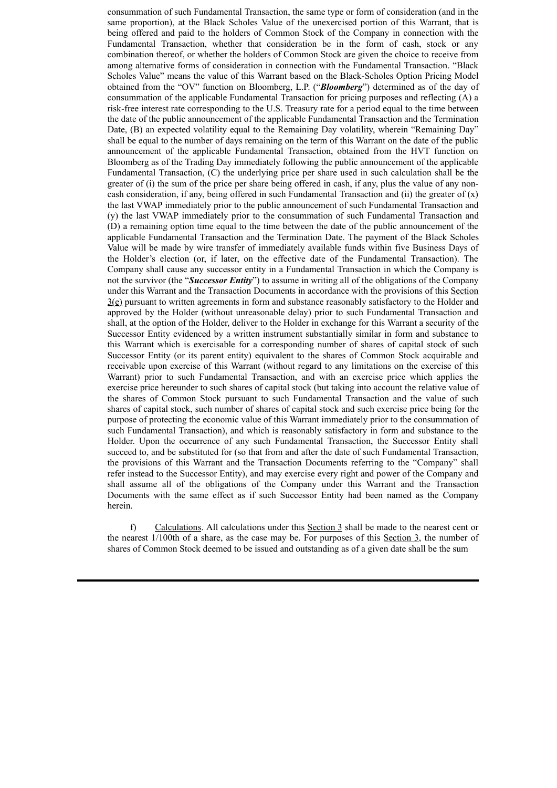consummation of such Fundamental Transaction, the same type or form of consideration (and in the same proportion), at the Black Scholes Value of the unexercised portion of this Warrant, that is being offered and paid to the holders of Common Stock of the Company in connection with the Fundamental Transaction, whether that consideration be in the form of cash, stock or any combination thereof, or whether the holders of Common Stock are given the choice to receive from among alternative forms of consideration in connection with the Fundamental Transaction. "Black Scholes Value" means the value of this Warrant based on the Black-Scholes Option Pricing Model obtained from the "OV" function on Bloomberg, L.P. ("*Bloomberg*") determined as of the day of consummation of the applicable Fundamental Transaction for pricing purposes and reflecting (A) a risk-free interest rate corresponding to the U.S. Treasury rate for a period equal to the time between the date of the public announcement of the applicable Fundamental Transaction and the Termination Date, (B) an expected volatility equal to the Remaining Day volatility, wherein "Remaining Day" shall be equal to the number of days remaining on the term of this Warrant on the date of the public announcement of the applicable Fundamental Transaction, obtained from the HVT function on Bloomberg as of the Trading Day immediately following the public announcement of the applicable Fundamental Transaction, (C) the underlying price per share used in such calculation shall be the greater of (i) the sum of the price per share being offered in cash, if any, plus the value of any noncash consideration, if any, being offered in such Fundamental Transaction and (ii) the greater of  $(x)$ the last VWAP immediately prior to the public announcement of such Fundamental Transaction and (y) the last VWAP immediately prior to the consummation of such Fundamental Transaction and (D) a remaining option time equal to the time between the date of the public announcement of the applicable Fundamental Transaction and the Termination Date. The payment of the Black Scholes Value will be made by wire transfer of immediately available funds within five Business Days of the Holder's election (or, if later, on the effective date of the Fundamental Transaction). The Company shall cause any successor entity in a Fundamental Transaction in which the Company is not the survivor (the "*Successor Entity*") to assume in writing all of the obligations of the Company under this Warrant and the Transaction Documents in accordance with the provisions of this Section  $3(\epsilon)$  pursuant to written agreements in form and substance reasonably satisfactory to the Holder and approved by the Holder (without unreasonable delay) prior to such Fundamental Transaction and shall, at the option of the Holder, deliver to the Holder in exchange for this Warrant a security of the Successor Entity evidenced by a written instrument substantially similar in form and substance to this Warrant which is exercisable for a corresponding number of shares of capital stock of such Successor Entity (or its parent entity) equivalent to the shares of Common Stock acquirable and receivable upon exercise of this Warrant (without regard to any limitations on the exercise of this Warrant) prior to such Fundamental Transaction, and with an exercise price which applies the exercise price hereunder to such shares of capital stock (but taking into account the relative value of the shares of Common Stock pursuant to such Fundamental Transaction and the value of such shares of capital stock, such number of shares of capital stock and such exercise price being for the purpose of protecting the economic value of this Warrant immediately prior to the consummation of such Fundamental Transaction), and which is reasonably satisfactory in form and substance to the Holder. Upon the occurrence of any such Fundamental Transaction, the Successor Entity shall succeed to, and be substituted for (so that from and after the date of such Fundamental Transaction, the provisions of this Warrant and the Transaction Documents referring to the "Company" shall refer instead to the Successor Entity), and may exercise every right and power of the Company and shall assume all of the obligations of the Company under this Warrant and the Transaction Documents with the same effect as if such Successor Entity had been named as the Company herein.

f) Calculations. All calculations under this Section 3 shall be made to the nearest cent or the nearest 1/100th of a share, as the case may be. For purposes of this Section 3, the number of shares of Common Stock deemed to be issued and outstanding as of a given date shall be the sum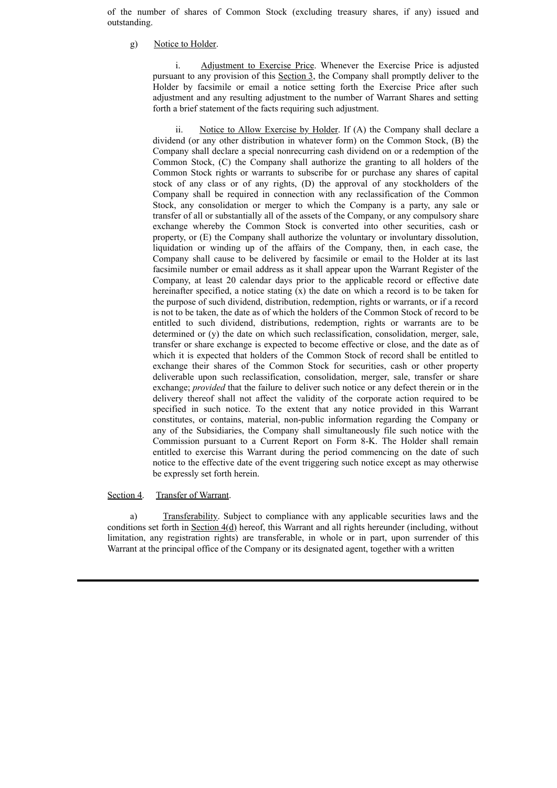of the number of shares of Common Stock (excluding treasury shares, if any) issued and outstanding.

g) Notice to Holder.

i. Adjustment to Exercise Price. Whenever the Exercise Price is adjusted pursuant to any provision of this Section 3, the Company shall promptly deliver to the Holder by facsimile or email a notice setting forth the Exercise Price after such adjustment and any resulting adjustment to the number of Warrant Shares and setting forth a brief statement of the facts requiring such adjustment.

ii. Notice to Allow Exercise by Holder. If (A) the Company shall declare a dividend (or any other distribution in whatever form) on the Common Stock, (B) the Company shall declare a special nonrecurring cash dividend on or a redemption of the Common Stock, (C) the Company shall authorize the granting to all holders of the Common Stock rights or warrants to subscribe for or purchase any shares of capital stock of any class or of any rights, (D) the approval of any stockholders of the Company shall be required in connection with any reclassification of the Common Stock, any consolidation or merger to which the Company is a party, any sale or transfer of all or substantially all of the assets of the Company, or any compulsory share exchange whereby the Common Stock is converted into other securities, cash or property, or (E) the Company shall authorize the voluntary or involuntary dissolution, liquidation or winding up of the affairs of the Company, then, in each case, the Company shall cause to be delivered by facsimile or email to the Holder at its last facsimile number or email address as it shall appear upon the Warrant Register of the Company, at least 20 calendar days prior to the applicable record or effective date hereinafter specified, a notice stating (x) the date on which a record is to be taken for the purpose of such dividend, distribution, redemption, rights or warrants, or if a record is not to be taken, the date as of which the holders of the Common Stock of record to be entitled to such dividend, distributions, redemption, rights or warrants are to be determined or (y) the date on which such reclassification, consolidation, merger, sale, transfer or share exchange is expected to become effective or close, and the date as of which it is expected that holders of the Common Stock of record shall be entitled to exchange their shares of the Common Stock for securities, cash or other property deliverable upon such reclassification, consolidation, merger, sale, transfer or share exchange; *provided* that the failure to deliver such notice or any defect therein or in the delivery thereof shall not affect the validity of the corporate action required to be specified in such notice. To the extent that any notice provided in this Warrant constitutes, or contains, material, non-public information regarding the Company or any of the Subsidiaries, the Company shall simultaneously file such notice with the Commission pursuant to a Current Report on Form 8-K. The Holder shall remain entitled to exercise this Warrant during the period commencing on the date of such notice to the effective date of the event triggering such notice except as may otherwise be expressly set forth herein.

#### Section 4. Transfer of Warrant.

a) Transferability. Subject to compliance with any applicable securities laws and the conditions set forth in Section  $4(d)$  hereof, this Warrant and all rights hereunder (including, without limitation, any registration rights) are transferable, in whole or in part, upon surrender of this Warrant at the principal office of the Company or its designated agent, together with a written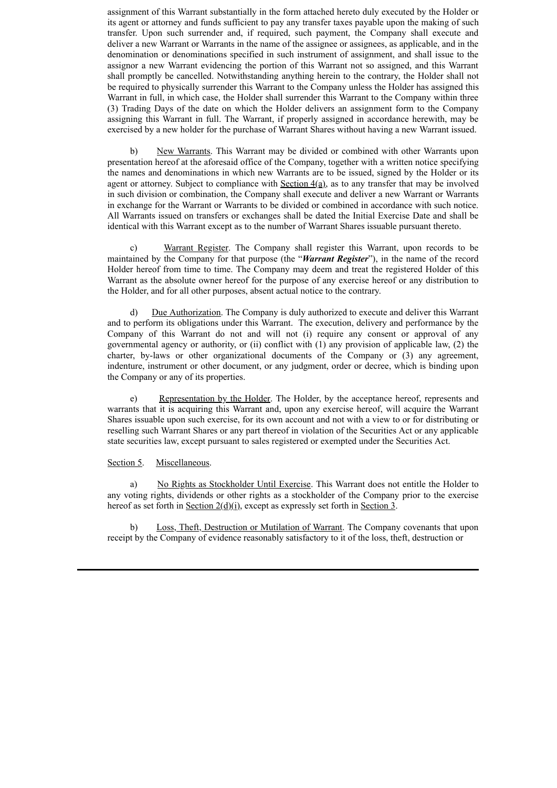assignment of this Warrant substantially in the form attached hereto duly executed by the Holder or its agent or attorney and funds sufficient to pay any transfer taxes payable upon the making of such transfer. Upon such surrender and, if required, such payment, the Company shall execute and deliver a new Warrant or Warrants in the name of the assignee or assignees, as applicable, and in the denomination or denominations specified in such instrument of assignment, and shall issue to the assignor a new Warrant evidencing the portion of this Warrant not so assigned, and this Warrant shall promptly be cancelled. Notwithstanding anything herein to the contrary, the Holder shall not be required to physically surrender this Warrant to the Company unless the Holder has assigned this Warrant in full, in which case, the Holder shall surrender this Warrant to the Company within three (3) Trading Days of the date on which the Holder delivers an assignment form to the Company assigning this Warrant in full. The Warrant, if properly assigned in accordance herewith, may be exercised by a new holder for the purchase of Warrant Shares without having a new Warrant issued.

b) New Warrants. This Warrant may be divided or combined with other Warrants upon presentation hereof at the aforesaid office of the Company, together with a written notice specifying the names and denominations in which new Warrants are to be issued, signed by the Holder or its agent or attorney. Subject to compliance with Section  $4(a)$ , as to any transfer that may be involved in such division or combination, the Company shall execute and deliver a new Warrant or Warrants in exchange for the Warrant or Warrants to be divided or combined in accordance with such notice. All Warrants issued on transfers or exchanges shall be dated the Initial Exercise Date and shall be identical with this Warrant except as to the number of Warrant Shares issuable pursuant thereto.

Warrant Register. The Company shall register this Warrant, upon records to be maintained by the Company for that purpose (the "*Warrant Register*"), in the name of the record Holder hereof from time to time. The Company may deem and treat the registered Holder of this Warrant as the absolute owner hereof for the purpose of any exercise hereof or any distribution to the Holder, and for all other purposes, absent actual notice to the contrary.

d) Due Authorization. The Company is duly authorized to execute and deliver this Warrant and to perform its obligations under this Warrant. The execution, delivery and performance by the Company of this Warrant do not and will not (i) require any consent or approval of any governmental agency or authority, or (ii) conflict with (1) any provision of applicable law, (2) the charter, by-laws or other organizational documents of the Company or (3) any agreement, indenture, instrument or other document, or any judgment, order or decree, which is binding upon the Company or any of its properties.

e) Representation by the Holder. The Holder, by the acceptance hereof, represents and warrants that it is acquiring this Warrant and, upon any exercise hereof, will acquire the Warrant Shares issuable upon such exercise, for its own account and not with a view to or for distributing or reselling such Warrant Shares or any part thereof in violation of the Securities Act or any applicable state securities law, except pursuant to sales registered or exempted under the Securities Act.

### Section 5. Miscellaneous.

a) No Rights as Stockholder Until Exercise. This Warrant does not entitle the Holder to any voting rights, dividends or other rights as a stockholder of the Company prior to the exercise hereof as set forth in Section  $2(\underline{d})(i)$ , except as expressly set forth in Section 3.

b) Loss, Theft, Destruction or Mutilation of Warrant. The Company covenants that upon receipt by the Company of evidence reasonably satisfactory to it of the loss, theft, destruction or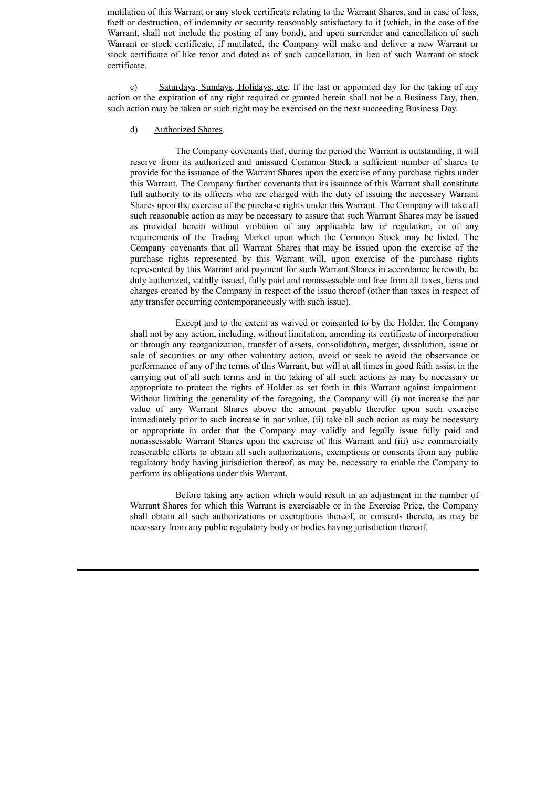mutilation of this Warrant or any stock certificate relating to the Warrant Shares, and in case of loss, theft or destruction, of indemnity or security reasonably satisfactory to it (which, in the case of the Warrant, shall not include the posting of any bond), and upon surrender and cancellation of such Warrant or stock certificate, if mutilated, the Company will make and deliver a new Warrant or stock certificate of like tenor and dated as of such cancellation, in lieu of such Warrant or stock certificate.

c) Saturdays, Sundays, Holidays, etc. If the last or appointed day for the taking of any action or the expiration of any right required or granted herein shall not be a Business Day, then, such action may be taken or such right may be exercised on the next succeeding Business Day.

# d) Authorized Shares.

The Company covenants that, during the period the Warrant is outstanding, it will reserve from its authorized and unissued Common Stock a sufficient number of shares to provide for the issuance of the Warrant Shares upon the exercise of any purchase rights under this Warrant. The Company further covenants that its issuance of this Warrant shall constitute full authority to its officers who are charged with the duty of issuing the necessary Warrant Shares upon the exercise of the purchase rights under this Warrant. The Company will take all such reasonable action as may be necessary to assure that such Warrant Shares may be issued as provided herein without violation of any applicable law or regulation, or of any requirements of the Trading Market upon which the Common Stock may be listed. The Company covenants that all Warrant Shares that may be issued upon the exercise of the purchase rights represented by this Warrant will, upon exercise of the purchase rights represented by this Warrant and payment for such Warrant Shares in accordance herewith, be duly authorized, validly issued, fully paid and nonassessable and free from all taxes, liens and charges created by the Company in respect of the issue thereof (other than taxes in respect of any transfer occurring contemporaneously with such issue).

Except and to the extent as waived or consented to by the Holder, the Company shall not by any action, including, without limitation, amending its certificate of incorporation or through any reorganization, transfer of assets, consolidation, merger, dissolution, issue or sale of securities or any other voluntary action, avoid or seek to avoid the observance or performance of any of the terms of this Warrant, but will at all times in good faith assist in the carrying out of all such terms and in the taking of all such actions as may be necessary or appropriate to protect the rights of Holder as set forth in this Warrant against impairment. Without limiting the generality of the foregoing, the Company will (i) not increase the par value of any Warrant Shares above the amount payable therefor upon such exercise immediately prior to such increase in par value, (ii) take all such action as may be necessary or appropriate in order that the Company may validly and legally issue fully paid and nonassessable Warrant Shares upon the exercise of this Warrant and (iii) use commercially reasonable efforts to obtain all such authorizations, exemptions or consents from any public regulatory body having jurisdiction thereof, as may be, necessary to enable the Company to perform its obligations under this Warrant.

Before taking any action which would result in an adjustment in the number of Warrant Shares for which this Warrant is exercisable or in the Exercise Price, the Company shall obtain all such authorizations or exemptions thereof, or consents thereto, as may be necessary from any public regulatory body or bodies having jurisdiction thereof.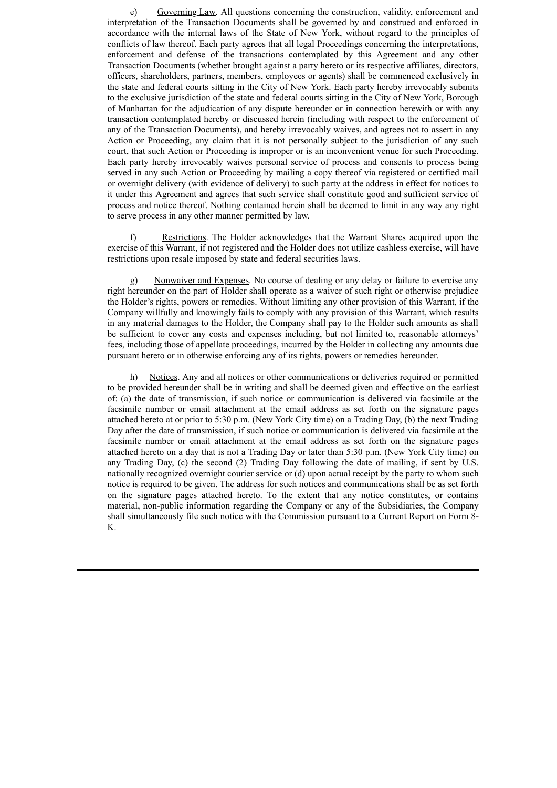e) Governing Law. All questions concerning the construction, validity, enforcement and interpretation of the Transaction Documents shall be governed by and construed and enforced in accordance with the internal laws of the State of New York, without regard to the principles of conflicts of law thereof. Each party agrees that all legal Proceedings concerning the interpretations, enforcement and defense of the transactions contemplated by this Agreement and any other Transaction Documents (whether brought against a party hereto or its respective affiliates, directors, officers, shareholders, partners, members, employees or agents) shall be commenced exclusively in the state and federal courts sitting in the City of New York. Each party hereby irrevocably submits to the exclusive jurisdiction of the state and federal courts sitting in the City of New York, Borough of Manhattan for the adjudication of any dispute hereunder or in connection herewith or with any transaction contemplated hereby or discussed herein (including with respect to the enforcement of any of the Transaction Documents), and hereby irrevocably waives, and agrees not to assert in any Action or Proceeding, any claim that it is not personally subject to the jurisdiction of any such court, that such Action or Proceeding is improper or is an inconvenient venue for such Proceeding. Each party hereby irrevocably waives personal service of process and consents to process being served in any such Action or Proceeding by mailing a copy thereof via registered or certified mail or overnight delivery (with evidence of delivery) to such party at the address in effect for notices to it under this Agreement and agrees that such service shall constitute good and sufficient service of process and notice thereof. Nothing contained herein shall be deemed to limit in any way any right to serve process in any other manner permitted by law.

f) Restrictions. The Holder acknowledges that the Warrant Shares acquired upon the exercise of this Warrant, if not registered and the Holder does not utilize cashless exercise, will have restrictions upon resale imposed by state and federal securities laws.

g) Nonwaiver and Expenses. No course of dealing or any delay or failure to exercise any right hereunder on the part of Holder shall operate as a waiver of such right or otherwise prejudice the Holder's rights, powers or remedies. Without limiting any other provision of this Warrant, if the Company willfully and knowingly fails to comply with any provision of this Warrant, which results in any material damages to the Holder, the Company shall pay to the Holder such amounts as shall be sufficient to cover any costs and expenses including, but not limited to, reasonable attorneys' fees, including those of appellate proceedings, incurred by the Holder in collecting any amounts due pursuant hereto or in otherwise enforcing any of its rights, powers or remedies hereunder.

h) Notices. Any and all notices or other communications or deliveries required or permitted to be provided hereunder shall be in writing and shall be deemed given and effective on the earliest of: (a) the date of transmission, if such notice or communication is delivered via facsimile at the facsimile number or email attachment at the email address as set forth on the signature pages attached hereto at or prior to 5:30 p.m. (New York City time) on a Trading Day, (b) the next Trading Day after the date of transmission, if such notice or communication is delivered via facsimile at the facsimile number or email attachment at the email address as set forth on the signature pages attached hereto on a day that is not a Trading Day or later than 5:30 p.m. (New York City time) on any Trading Day, (c) the second (2) Trading Day following the date of mailing, if sent by U.S. nationally recognized overnight courier service or (d) upon actual receipt by the party to whom such notice is required to be given. The address for such notices and communications shall be as set forth on the signature pages attached hereto. To the extent that any notice constitutes, or contains material, non-public information regarding the Company or any of the Subsidiaries, the Company shall simultaneously file such notice with the Commission pursuant to a Current Report on Form 8- K.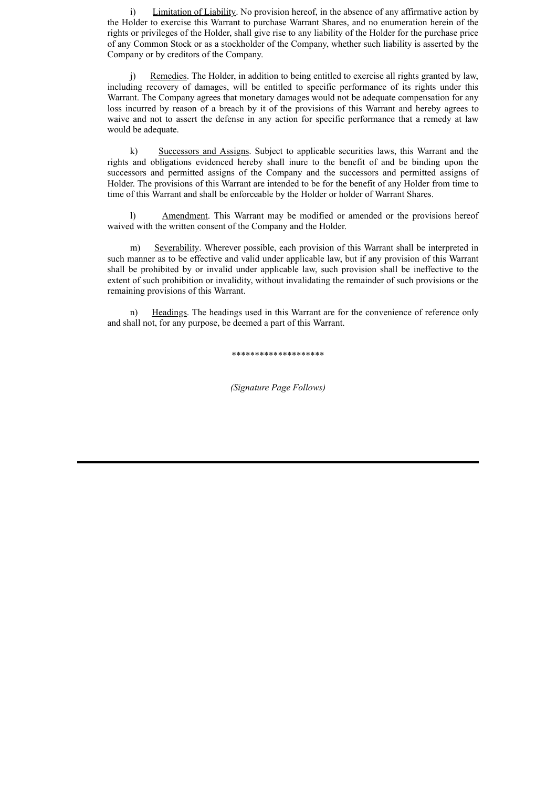i) Limitation of Liability. No provision hereof, in the absence of any affirmative action by the Holder to exercise this Warrant to purchase Warrant Shares, and no enumeration herein of the rights or privileges of the Holder, shall give rise to any liability of the Holder for the purchase price of any Common Stock or as a stockholder of the Company, whether such liability is asserted by the Company or by creditors of the Company.

j) Remedies. The Holder, in addition to being entitled to exercise all rights granted by law, including recovery of damages, will be entitled to specific performance of its rights under this Warrant. The Company agrees that monetary damages would not be adequate compensation for any loss incurred by reason of a breach by it of the provisions of this Warrant and hereby agrees to waive and not to assert the defense in any action for specific performance that a remedy at law would be adequate.

k) Successors and Assigns. Subject to applicable securities laws, this Warrant and the rights and obligations evidenced hereby shall inure to the benefit of and be binding upon the successors and permitted assigns of the Company and the successors and permitted assigns of Holder. The provisions of this Warrant are intended to be for the benefit of any Holder from time to time of this Warrant and shall be enforceable by the Holder or holder of Warrant Shares.

l) Amendment. This Warrant may be modified or amended or the provisions hereof waived with the written consent of the Company and the Holder.

m) Severability. Wherever possible, each provision of this Warrant shall be interpreted in such manner as to be effective and valid under applicable law, but if any provision of this Warrant shall be prohibited by or invalid under applicable law, such provision shall be ineffective to the extent of such prohibition or invalidity, without invalidating the remainder of such provisions or the remaining provisions of this Warrant.

n) Headings. The headings used in this Warrant are for the convenience of reference only and shall not, for any purpose, be deemed a part of this Warrant.

\*\*\*\*\*\*\*\*\*\*\*\*\*\*\*\*\*\*\*\*

*(Signature Page Follows)*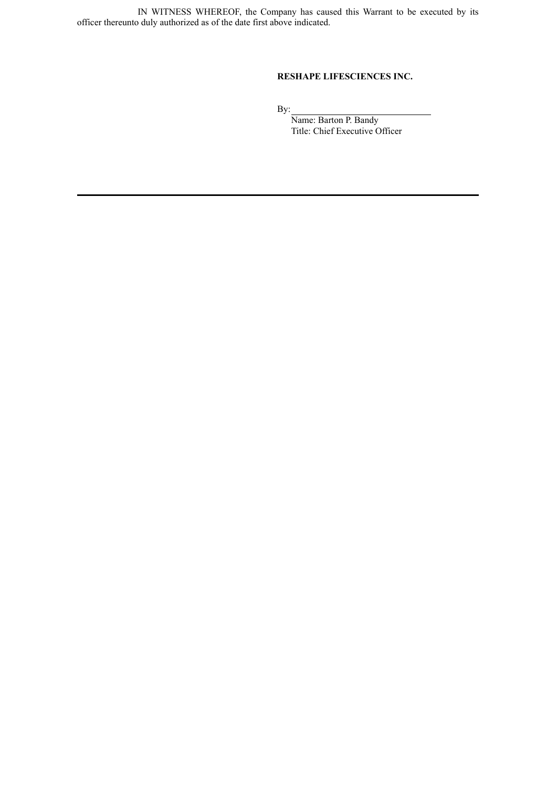IN WITNESS WHEREOF, the Company has caused this Warrant to be executed by its officer thereunto duly authorized as of the date first above indicated.

# **RESHAPE LIFESCIENCES INC.**

By:

Name: Barton P. Bandy Title: Chief Executive Officer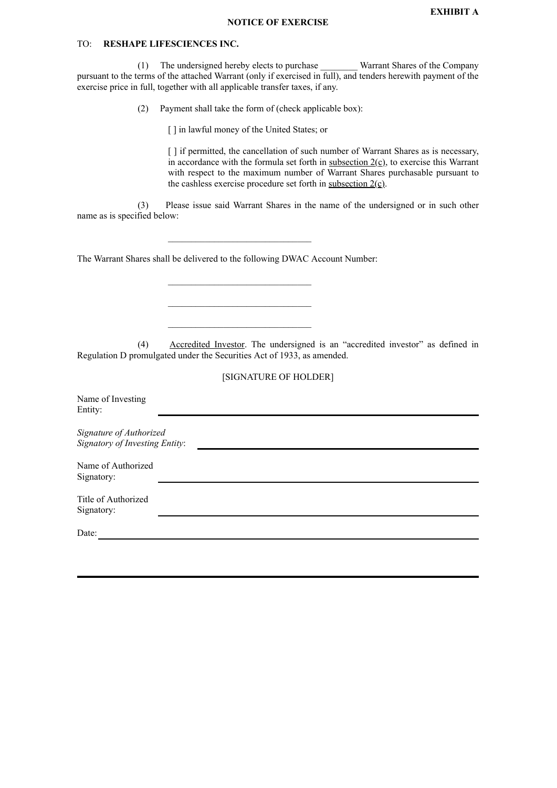# TO: **RESHAPE LIFESCIENCES INC.**

(1) The undersigned hereby elects to purchase \_\_\_\_\_\_\_\_ Warrant Shares of the Company pursuant to the terms of the attached Warrant (only if exercised in full), and tenders herewith payment of the exercise price in full, together with all applicable transfer taxes, if any.

(2) Payment shall take the form of (check applicable box):

[] in lawful money of the United States; or

[ ] if permitted, the cancellation of such number of Warrant Shares as is necessary, in accordance with the formula set forth in subsection  $2(c)$ , to exercise this Warrant with respect to the maximum number of Warrant Shares purchasable pursuant to the cashless exercise procedure set forth in subsection  $2(\underline{c})$ .

(3) Please issue said Warrant Shares in the name of the undersigned or in such other name as is specified below:

The Warrant Shares shall be delivered to the following DWAC Account Number:

\_\_\_\_\_\_\_\_\_\_\_\_\_\_\_\_\_\_\_\_\_\_\_\_\_\_\_\_\_\_\_

 $\mathcal{L}_\text{max}$ 

\_\_\_\_\_\_\_\_\_\_\_\_\_\_\_\_\_\_\_\_\_\_\_\_\_\_\_\_\_\_\_

(4) Accredited Investor. The undersigned is an "accredited investor" as defined in Regulation D promulgated under the Securities Act of 1933, as amended.

| [SIGNATURE OF HOLDER] |
|-----------------------|
|-----------------------|

| Name of Investing<br>Entity:                              |  |  |  |
|-----------------------------------------------------------|--|--|--|
| Signature of Authorized<br>Signatory of Investing Entity: |  |  |  |
| Name of Authorized<br>Signatory:                          |  |  |  |
| Title of Authorized<br>Signatory:                         |  |  |  |
| Date:                                                     |  |  |  |
|                                                           |  |  |  |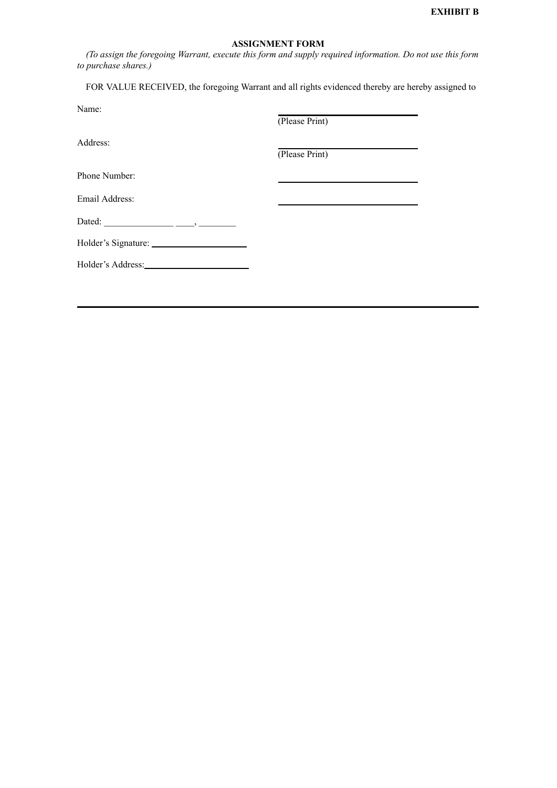# **ASSIGNMENT FORM**

*(To assign the foregoing Warrant, execute this form and supply required information. Do not use this form to purchase shares.)*

FOR VALUE RECEIVED, the foregoing Warrant and all rights evidenced thereby are hereby assigned to

| Name:          | (Please Print) |
|----------------|----------------|
| Address:       | (Please Print) |
| Phone Number:  |                |
| Email Address: |                |
|                |                |
|                |                |
|                |                |
|                |                |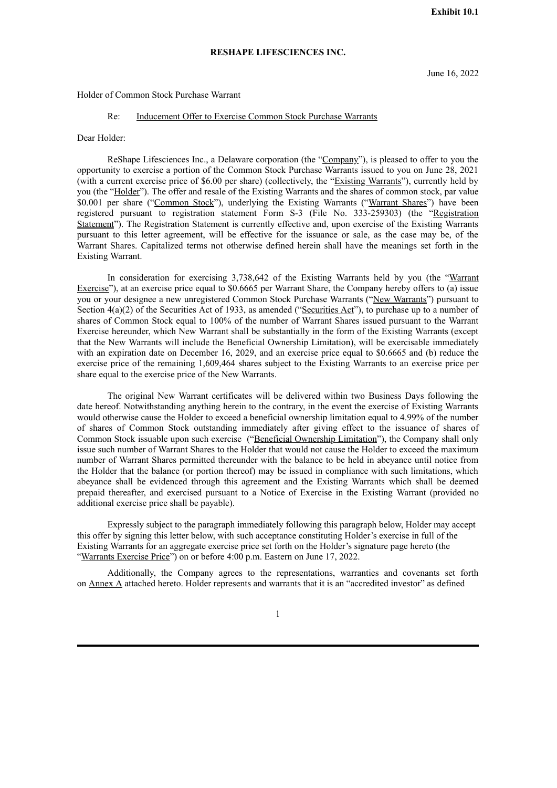#### **RESHAPE LIFESCIENCES INC.**

#### <span id="page-20-0"></span>Holder of Common Stock Purchase Warrant

### Re: Inducement Offer to Exercise Common Stock Purchase Warrants

Dear Holder:

ReShape Lifesciences Inc., a Delaware corporation (the "Company"), is pleased to offer to you the opportunity to exercise a portion of the Common Stock Purchase Warrants issued to you on June 28, 2021 (with a current exercise price of \$6.00 per share) (collectively, the "Existing Warrants"), currently held by you (the "Holder"). The offer and resale of the Existing Warrants and the shares of common stock, par value \$0.001 per share ("Common Stock"), underlying the Existing Warrants ("Warrant Shares") have been registered pursuant to registration statement Form S-3 (File No. 333-259303) (the "Registration Statement"). The Registration Statement is currently effective and, upon exercise of the Existing Warrants pursuant to this letter agreement, will be effective for the issuance or sale, as the case may be, of the Warrant Shares. Capitalized terms not otherwise defined herein shall have the meanings set forth in the Existing Warrant.

In consideration for exercising 3,738,642 of the Existing Warrants held by you (the "Warrant Exercise"), at an exercise price equal to \$0.6665 per Warrant Share, the Company hereby offers to (a) issue you or your designee a new unregistered Common Stock Purchase Warrants ("New Warrants") pursuant to Section 4(a)(2) of the Securities Act of 1933, as amended ("Securities Act"), to purchase up to a number of shares of Common Stock equal to 100% of the number of Warrant Shares issued pursuant to the Warrant Exercise hereunder, which New Warrant shall be substantially in the form of the Existing Warrants (except that the New Warrants will include the Beneficial Ownership Limitation), will be exercisable immediately with an expiration date on December 16, 2029, and an exercise price equal to \$0.6665 and (b) reduce the exercise price of the remaining 1,609,464 shares subject to the Existing Warrants to an exercise price per share equal to the exercise price of the New Warrants.

The original New Warrant certificates will be delivered within two Business Days following the date hereof. Notwithstanding anything herein to the contrary, in the event the exercise of Existing Warrants would otherwise cause the Holder to exceed a beneficial ownership limitation equal to 4.99% of the number of shares of Common Stock outstanding immediately after giving effect to the issuance of shares of Common Stock issuable upon such exercise ("Beneficial Ownership Limitation"), the Company shall only issue such number of Warrant Shares to the Holder that would not cause the Holder to exceed the maximum number of Warrant Shares permitted thereunder with the balance to be held in abeyance until notice from the Holder that the balance (or portion thereof) may be issued in compliance with such limitations, which abeyance shall be evidenced through this agreement and the Existing Warrants which shall be deemed prepaid thereafter, and exercised pursuant to a Notice of Exercise in the Existing Warrant (provided no additional exercise price shall be payable).

Expressly subject to the paragraph immediately following this paragraph below, Holder may accept this offer by signing this letter below, with such acceptance constituting Holder's exercise in full of the Existing Warrants for an aggregate exercise price set forth on the Holder's signature page hereto (the "Warrants Exercise Price") on or before 4:00 p.m. Eastern on June 17, 2022.

Additionally, the Company agrees to the representations, warranties and covenants set forth on Annex A attached hereto. Holder represents and warrants that it is an "accredited investor" as defined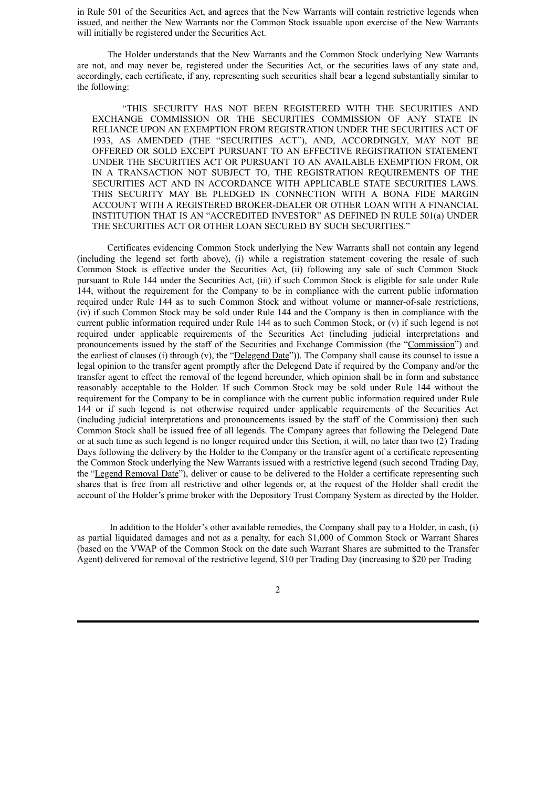in Rule 501 of the Securities Act, and agrees that the New Warrants will contain restrictive legends when issued, and neither the New Warrants nor the Common Stock issuable upon exercise of the New Warrants will initially be registered under the Securities Act.

The Holder understands that the New Warrants and the Common Stock underlying New Warrants are not, and may never be, registered under the Securities Act, or the securities laws of any state and, accordingly, each certificate, if any, representing such securities shall bear a legend substantially similar to the following:

"THIS SECURITY HAS NOT BEEN REGISTERED WITH THE SECURITIES AND EXCHANGE COMMISSION OR THE SECURITIES COMMISSION OF ANY STATE IN RELIANCE UPON AN EXEMPTION FROM REGISTRATION UNDER THE SECURITIES ACT OF 1933, AS AMENDED (THE "SECURITIES ACT"), AND, ACCORDINGLY, MAY NOT BE OFFERED OR SOLD EXCEPT PURSUANT TO AN EFFECTIVE REGISTRATION STATEMENT UNDER THE SECURITIES ACT OR PURSUANT TO AN AVAILABLE EXEMPTION FROM, OR IN A TRANSACTION NOT SUBJECT TO, THE REGISTRATION REQUIREMENTS OF THE SECURITIES ACT AND IN ACCORDANCE WITH APPLICABLE STATE SECURITIES LAWS. THIS SECURITY MAY BE PLEDGED IN CONNECTION WITH A BONA FIDE MARGIN ACCOUNT WITH A REGISTERED BROKER-DEALER OR OTHER LOAN WITH A FINANCIAL INSTITUTION THAT IS AN "ACCREDITED INVESTOR" AS DEFINED IN RULE 501(a) UNDER THE SECURITIES ACT OR OTHER LOAN SECURED BY SUCH SECURITIES."

Certificates evidencing Common Stock underlying the New Warrants shall not contain any legend (including the legend set forth above), (i) while a registration statement covering the resale of such Common Stock is effective under the Securities Act, (ii) following any sale of such Common Stock pursuant to Rule 144 under the Securities Act, (iii) if such Common Stock is eligible for sale under Rule 144, without the requirement for the Company to be in compliance with the current public information required under Rule 144 as to such Common Stock and without volume or manner-of-sale restrictions, (iv) if such Common Stock may be sold under Rule 144 and the Company is then in compliance with the current public information required under Rule 144 as to such Common Stock, or (v) if such legend is not required under applicable requirements of the Securities Act (including judicial interpretations and pronouncements issued by the staff of the Securities and Exchange Commission (the "Commission") and the earliest of clauses (i) through (v), the "Delegend Date")). The Company shall cause its counsel to issue a legal opinion to the transfer agent promptly after the Delegend Date if required by the Company and/or the transfer agent to effect the removal of the legend hereunder, which opinion shall be in form and substance reasonably acceptable to the Holder. If such Common Stock may be sold under Rule 144 without the requirement for the Company to be in compliance with the current public information required under Rule 144 or if such legend is not otherwise required under applicable requirements of the Securities Act (including judicial interpretations and pronouncements issued by the staff of the Commission) then such Common Stock shall be issued free of all legends. The Company agrees that following the Delegend Date or at such time as such legend is no longer required under this Section, it will, no later than two (2) Trading Days following the delivery by the Holder to the Company or the transfer agent of a certificate representing the Common Stock underlying the New Warrants issued with a restrictive legend (such second Trading Day, the "Legend Removal Date"), deliver or cause to be delivered to the Holder a certificate representing such shares that is free from all restrictive and other legends or, at the request of the Holder shall credit the account of the Holder's prime broker with the Depository Trust Company System as directed by the Holder.

In addition to the Holder's other available remedies, the Company shall pay to a Holder, in cash, (i) as partial liquidated damages and not as a penalty, for each \$1,000 of Common Stock or Warrant Shares (based on the VWAP of the Common Stock on the date such Warrant Shares are submitted to the Transfer Agent) delivered for removal of the restrictive legend, \$10 per Trading Day (increasing to \$20 per Trading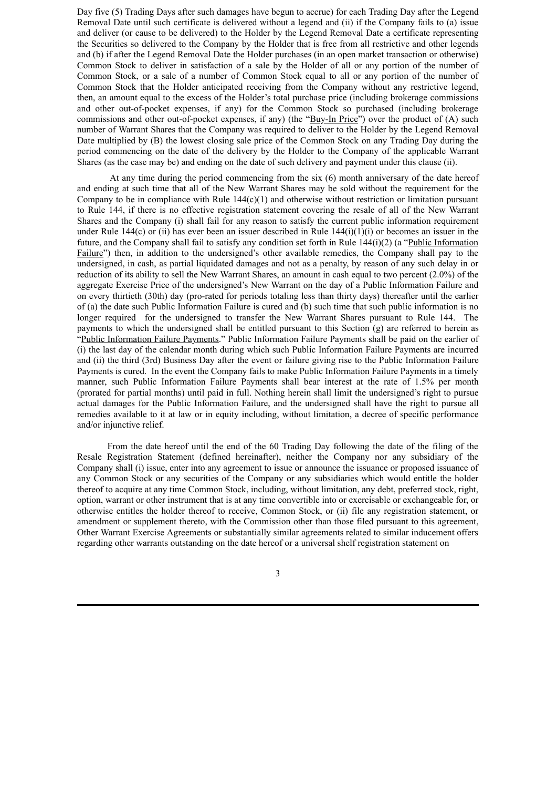Day five (5) Trading Days after such damages have begun to accrue) for each Trading Day after the Legend Removal Date until such certificate is delivered without a legend and (ii) if the Company fails to (a) issue and deliver (or cause to be delivered) to the Holder by the Legend Removal Date a certificate representing the Securities so delivered to the Company by the Holder that is free from all restrictive and other legends and (b) if after the Legend Removal Date the Holder purchases (in an open market transaction or otherwise) Common Stock to deliver in satisfaction of a sale by the Holder of all or any portion of the number of Common Stock, or a sale of a number of Common Stock equal to all or any portion of the number of Common Stock that the Holder anticipated receiving from the Company without any restrictive legend, then, an amount equal to the excess of the Holder's total purchase price (including brokerage commissions and other out-of-pocket expenses, if any) for the Common Stock so purchased (including brokerage commissions and other out-of-pocket expenses, if any) (the "Buy-In Price") over the product of (A) such number of Warrant Shares that the Company was required to deliver to the Holder by the Legend Removal Date multiplied by (B) the lowest closing sale price of the Common Stock on any Trading Day during the period commencing on the date of the delivery by the Holder to the Company of the applicable Warrant Shares (as the case may be) and ending on the date of such delivery and payment under this clause (ii).

At any time during the period commencing from the six (6) month anniversary of the date hereof and ending at such time that all of the New Warrant Shares may be sold without the requirement for the Company to be in compliance with Rule  $144(c)(1)$  and otherwise without restriction or limitation pursuant to Rule 144, if there is no effective registration statement covering the resale of all of the New Warrant Shares and the Company (i) shall fail for any reason to satisfy the current public information requirement under Rule 144(c) or (ii) has ever been an issuer described in Rule 144(i)(1)(i) or becomes an issuer in the future, and the Company shall fail to satisfy any condition set forth in Rule 144(i)(2) (a "Public Information Failure") then, in addition to the undersigned's other available remedies, the Company shall pay to the undersigned, in cash, as partial liquidated damages and not as a penalty, by reason of any such delay in or reduction of its ability to sell the New Warrant Shares, an amount in cash equal to two percent (2.0%) of the aggregate Exercise Price of the undersigned's New Warrant on the day of a Public Information Failure and on every thirtieth (30th) day (pro-rated for periods totaling less than thirty days) thereafter until the earlier of (a) the date such Public Information Failure is cured and (b) such time that such public information is no longer required for the undersigned to transfer the New Warrant Shares pursuant to Rule 144. The payments to which the undersigned shall be entitled pursuant to this Section (g) are referred to herein as "Public Information Failure Payments." Public Information Failure Payments shall be paid on the earlier of (i) the last day of the calendar month during which such Public Information Failure Payments are incurred and (ii) the third (3rd) Business Day after the event or failure giving rise to the Public Information Failure Payments is cured. In the event the Company fails to make Public Information Failure Payments in a timely manner, such Public Information Failure Payments shall bear interest at the rate of 1.5% per month (prorated for partial months) until paid in full. Nothing herein shall limit the undersigned's right to pursue actual damages for the Public Information Failure, and the undersigned shall have the right to pursue all remedies available to it at law or in equity including, without limitation, a decree of specific performance and/or injunctive relief.

From the date hereof until the end of the 60 Trading Day following the date of the filing of the Resale Registration Statement (defined hereinafter), neither the Company nor any subsidiary of the Company shall (i) issue, enter into any agreement to issue or announce the issuance or proposed issuance of any Common Stock or any securities of the Company or any subsidiaries which would entitle the holder thereof to acquire at any time Common Stock, including, without limitation, any debt, preferred stock, right, option, warrant or other instrument that is at any time convertible into or exercisable or exchangeable for, or otherwise entitles the holder thereof to receive, Common Stock, or (ii) file any registration statement, or amendment or supplement thereto, with the Commission other than those filed pursuant to this agreement, Other Warrant Exercise Agreements or substantially similar agreements related to similar inducement offers regarding other warrants outstanding on the date hereof or a universal shelf registration statement on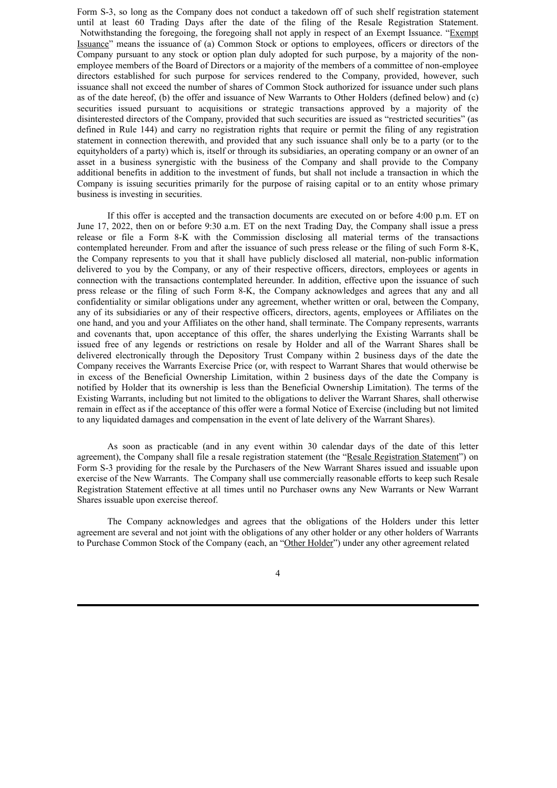Form S-3, so long as the Company does not conduct a takedown off of such shelf registration statement until at least 60 Trading Days after the date of the filing of the Resale Registration Statement. Notwithstanding the foregoing, the foregoing shall not apply in respect of an Exempt Issuance. "Exempt Issuance" means the issuance of (a) Common Stock or options to employees, officers or directors of the Company pursuant to any stock or option plan duly adopted for such purpose, by a majority of the nonemployee members of the Board of Directors or a majority of the members of a committee of non-employee directors established for such purpose for services rendered to the Company, provided, however, such issuance shall not exceed the number of shares of Common Stock authorized for issuance under such plans as of the date hereof, (b) the offer and issuance of New Warrants to Other Holders (defined below) and (c) securities issued pursuant to acquisitions or strategic transactions approved by a majority of the disinterested directors of the Company, provided that such securities are issued as "restricted securities" (as defined in Rule 144) and carry no registration rights that require or permit the filing of any registration statement in connection therewith, and provided that any such issuance shall only be to a party (or to the equityholders of a party) which is, itself or through its subsidiaries, an operating company or an owner of an asset in a business synergistic with the business of the Company and shall provide to the Company additional benefits in addition to the investment of funds, but shall not include a transaction in which the Company is issuing securities primarily for the purpose of raising capital or to an entity whose primary business is investing in securities.

If this offer is accepted and the transaction documents are executed on or before 4:00 p.m. ET on June 17, 2022, then on or before 9:30 a.m. ET on the next Trading Day, the Company shall issue a press release or file a Form 8-K with the Commission disclosing all material terms of the transactions contemplated hereunder. From and after the issuance of such press release or the filing of such Form 8-K, the Company represents to you that it shall have publicly disclosed all material, non-public information delivered to you by the Company, or any of their respective officers, directors, employees or agents in connection with the transactions contemplated hereunder. In addition, effective upon the issuance of such press release or the filing of such Form 8-K, the Company acknowledges and agrees that any and all confidentiality or similar obligations under any agreement, whether written or oral, between the Company, any of its subsidiaries or any of their respective officers, directors, agents, employees or Affiliates on the one hand, and you and your Affiliates on the other hand, shall terminate. The Company represents, warrants and covenants that, upon acceptance of this offer, the shares underlying the Existing Warrants shall be issued free of any legends or restrictions on resale by Holder and all of the Warrant Shares shall be delivered electronically through the Depository Trust Company within 2 business days of the date the Company receives the Warrants Exercise Price (or, with respect to Warrant Shares that would otherwise be in excess of the Beneficial Ownership Limitation, within 2 business days of the date the Company is notified by Holder that its ownership is less than the Beneficial Ownership Limitation). The terms of the Existing Warrants, including but not limited to the obligations to deliver the Warrant Shares, shall otherwise remain in effect as if the acceptance of this offer were a formal Notice of Exercise (including but not limited to any liquidated damages and compensation in the event of late delivery of the Warrant Shares).

As soon as practicable (and in any event within 30 calendar days of the date of this letter agreement), the Company shall file a resale registration statement (the "Resale Registration Statement") on Form S-3 providing for the resale by the Purchasers of the New Warrant Shares issued and issuable upon exercise of the New Warrants. The Company shall use commercially reasonable efforts to keep such Resale Registration Statement effective at all times until no Purchaser owns any New Warrants or New Warrant Shares issuable upon exercise thereof.

The Company acknowledges and agrees that the obligations of the Holders under this letter agreement are several and not joint with the obligations of any other holder or any other holders of Warrants to Purchase Common Stock of the Company (each, an "Other Holder") under any other agreement related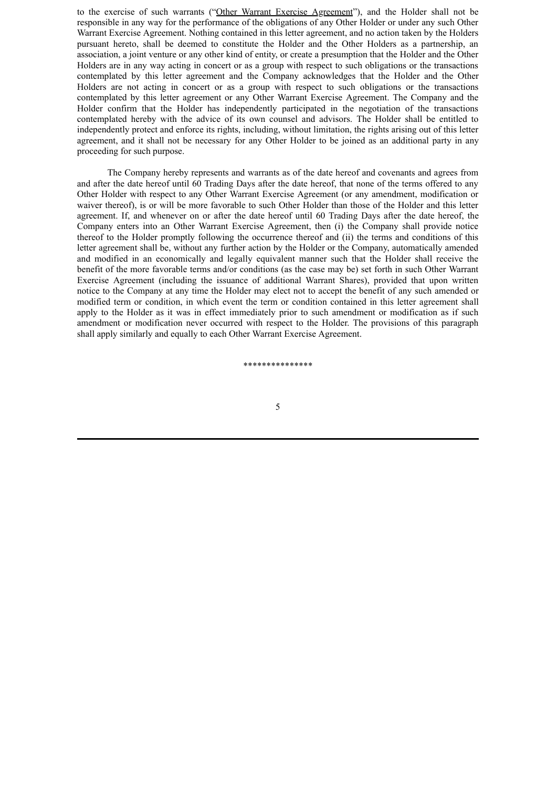to the exercise of such warrants ("Other Warrant Exercise Agreement"), and the Holder shall not be responsible in any way for the performance of the obligations of any Other Holder or under any such Other Warrant Exercise Agreement. Nothing contained in this letter agreement, and no action taken by the Holders pursuant hereto, shall be deemed to constitute the Holder and the Other Holders as a partnership, an association, a joint venture or any other kind of entity, or create a presumption that the Holder and the Other Holders are in any way acting in concert or as a group with respect to such obligations or the transactions contemplated by this letter agreement and the Company acknowledges that the Holder and the Other Holders are not acting in concert or as a group with respect to such obligations or the transactions contemplated by this letter agreement or any Other Warrant Exercise Agreement. The Company and the Holder confirm that the Holder has independently participated in the negotiation of the transactions contemplated hereby with the advice of its own counsel and advisors. The Holder shall be entitled to independently protect and enforce its rights, including, without limitation, the rights arising out of this letter agreement, and it shall not be necessary for any Other Holder to be joined as an additional party in any proceeding for such purpose.

The Company hereby represents and warrants as of the date hereof and covenants and agrees from and after the date hereof until 60 Trading Days after the date hereof, that none of the terms offered to any Other Holder with respect to any Other Warrant Exercise Agreement (or any amendment, modification or waiver thereof), is or will be more favorable to such Other Holder than those of the Holder and this letter agreement. If, and whenever on or after the date hereof until 60 Trading Days after the date hereof, the Company enters into an Other Warrant Exercise Agreement, then (i) the Company shall provide notice thereof to the Holder promptly following the occurrence thereof and (ii) the terms and conditions of this letter agreement shall be, without any further action by the Holder or the Company, automatically amended and modified in an economically and legally equivalent manner such that the Holder shall receive the benefit of the more favorable terms and/or conditions (as the case may be) set forth in such Other Warrant Exercise Agreement (including the issuance of additional Warrant Shares), provided that upon written notice to the Company at any time the Holder may elect not to accept the benefit of any such amended or modified term or condition, in which event the term or condition contained in this letter agreement shall apply to the Holder as it was in effect immediately prior to such amendment or modification as if such amendment or modification never occurred with respect to the Holder. The provisions of this paragraph shall apply similarly and equally to each Other Warrant Exercise Agreement.

\*\*\*\*\*\*\*\*\*\*\*\*\*\*\*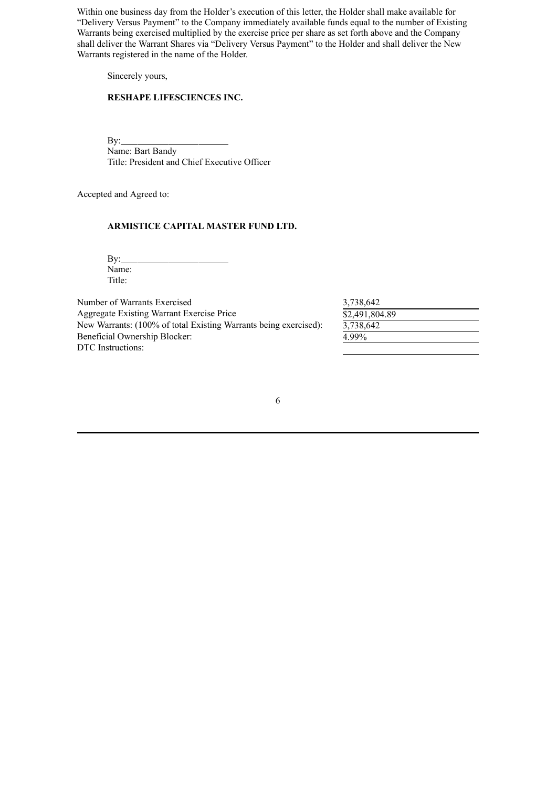Within one business day from the Holder's execution of this letter, the Holder shall make available for "Delivery Versus Payment" to the Company immediately available funds equal to the number of Existing Warrants being exercised multiplied by the exercise price per share as set forth above and the Company shall deliver the Warrant Shares via "Delivery Versus Payment" to the Holder and shall deliver the New Warrants registered in the name of the Holder.

Sincerely yours,

# **RESHAPE LIFESCIENCES INC.**

 $By:$ Name: Bart Bandy Title: President and Chief Executive Officer

Accepted and Agreed to:

## **ARMISTICE CAPITAL MASTER FUND LTD.**

 $By:$ Name: Title:

Number of Warrants Exercised Aggregate Existing Warrant Exercise Price New Warrants: (100% of total Existing Warrants being exercised): Beneficial Ownership Blocker: DTC Instructions:

| 3,738,642      |  |
|----------------|--|
| \$2,491,804.89 |  |
| 3,738,642      |  |
| 4.99%          |  |
|                |  |